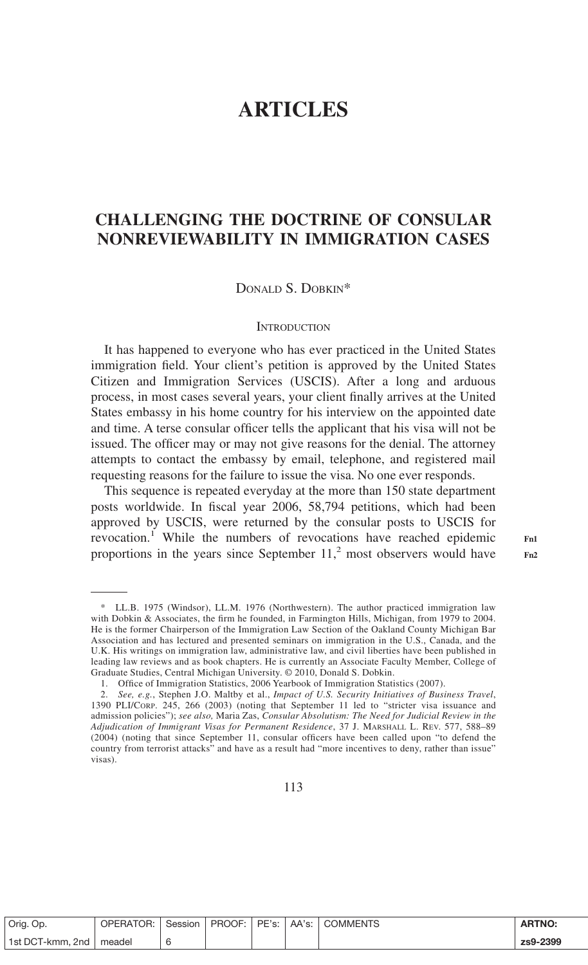# **ARTICLES**

## **CHALLENGING THE DOCTRINE OF CONSULAR NONREVIEWABILITY IN IMMIGRATION CASES**

DONALD S. DOBKIN\*

### **INTRODUCTION**

It has happened to everyone who has ever practiced in the United States immigration field. Your client's petition is approved by the United States Citizen and Immigration Services (USCIS). After a long and arduous process, in most cases several years, your client finally arrives at the United States embassy in his home country for his interview on the appointed date and time. A terse consular officer tells the applicant that his visa will not be issued. The officer may or may not give reasons for the denial. The attorney attempts to contact the embassy by email, telephone, and registered mail requesting reasons for the failure to issue the visa. No one ever responds.

This sequence is repeated everyday at the more than 150 state department posts worldwide. In fiscal year 2006, 58,794 petitions, which had been approved by USCIS, were returned by the consular posts to USCIS for revocation.<sup>1</sup> While the numbers of revocations have reached epidemic proportions in the years since September  $11<sup>2</sup>$  most observers would have

| Orig. Op.                 | OPERATOR: Session   PROOF:   PE's:   AA's:   COMMENTS |  |  | <b>ARTNO:</b> |
|---------------------------|-------------------------------------------------------|--|--|---------------|
| 1st DCT-kmm, 2nd   meadel |                                                       |  |  | zs9-2399      |

**Fn1 Fn2**

<sup>\*</sup> LL.B. 1975 (Windsor), LL.M. 1976 (Northwestern). The author practiced immigration law with Dobkin & Associates, the firm he founded, in Farmington Hills, Michigan, from 1979 to 2004. He is the former Chairperson of the Immigration Law Section of the Oakland County Michigan Bar Association and has lectured and presented seminars on immigration in the U.S., Canada, and the U.K. His writings on immigration law, administrative law, and civil liberties have been published in leading law reviews and as book chapters. He is currently an Associate Faculty Member, College of Graduate Studies, Central Michigan University. © 2010, Donald S. Dobkin.

<sup>1.</sup> Office of Immigration Statistics, 2006 Yearbook of Immigration Statistics (2007).

<sup>2.</sup> *See, e.g.*, Stephen J.O. Maltby et al., *Impact of U.S. Security Initiatives of Business Travel*, 1390 PLI/CORP. 245, 266 (2003) (noting that September 11 led to "stricter visa issuance and admission policies"); *see also,* Maria Zas, *Consular Absolutism: The Need for Judicial Review in the Adjudication of Immigrant Visas for Permanent Residence*, 37 J. MARSHALL L. REV. 577, 588–89 (2004) (noting that since September 11, consular officers have been called upon "to defend the country from terrorist attacks" and have as a result had "more incentives to deny, rather than issue" visas).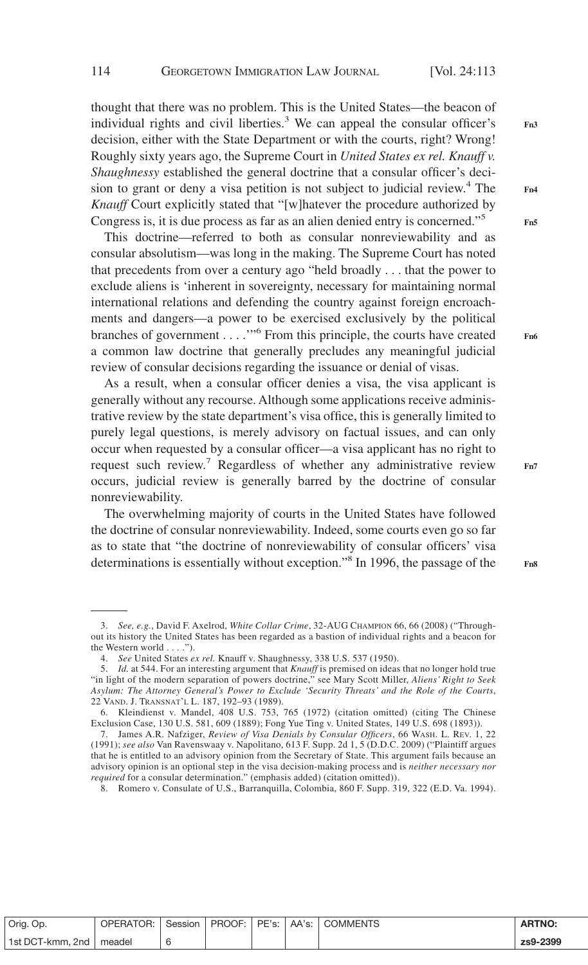thought that there was no problem. This is the United States—the beacon of individual rights and civil liberties.<sup>3</sup> We can appeal the consular officer's decision, either with the State Department or with the courts, right? Wrong! Roughly sixty years ago, the Supreme Court in *United States ex rel. Knauff v. Shaughnessy* established the general doctrine that a consular officer's decision to grant or deny a visa petition is not subject to judicial review.<sup>4</sup> The *Knauff* Court explicitly stated that "[w]hatever the procedure authorized by Congress is, it is due process as far as an alien denied entry is concerned."5

This doctrine—referred to both as consular nonreviewability and as consular absolutism—was long in the making. The Supreme Court has noted that precedents from over a century ago "held broadly... that the power to exclude aliens is 'inherent in sovereignty, necessary for maintaining normal international relations and defending the country against foreign encroachments and dangers—a power to be exercised exclusively by the political branches of government . . . .'"<sup>6</sup> From this principle, the courts have created a common law doctrine that generally precludes any meaningful judicial review of consular decisions regarding the issuance or denial of visas.

As a result, when a consular officer denies a visa, the visa applicant is generally without any recourse. Although some applications receive administrative review by the state department's visa office, this is generally limited to purely legal questions, is merely advisory on factual issues, and can only occur when requested by a consular officer—a visa applicant has no right to request such review.<sup>7</sup> Regardless of whether any administrative review occurs, judicial review is generally barred by the doctrine of consular nonreviewability.

The overwhelming majority of courts in the United States have followed the doctrine of consular nonreviewability. Indeed, some courts even go so far as to state that "the doctrine of nonreviewability of consular officers' visa determinations is essentially without exception."<sup>8</sup> In 1996, the passage of the **Fn7**

| Orig. Op.        | <b>OPERATOR:</b> I | Session |  | PROOF: PE's: AA's: COMMENTS | <b>ARTNO:</b> |
|------------------|--------------------|---------|--|-----------------------------|---------------|
| 1st DCT-kmm, 2nd | meadel             |         |  |                             | zs9-2399      |

**Fn3**

**Fn4**

**Fn5**

**Fn8**

<sup>3.</sup> *See, e.g.*, David F. Axelrod, *White Collar Crime*, 32-AUG CHAMPION 66, 66 (2008) ("Throughout its history the United States has been regarded as a bastion of individual rights and a beacon for the Western world... .").

<sup>4.</sup> *See* United States *ex rel.* Knauff v. Shaughnessy, 338 U.S. 537 (1950).

Id. at 544. For an interesting argument that *Knauff* is premised on ideas that no longer hold true "in light of the modern separation of powers doctrine," see Mary Scott Miller, *Aliens' Right to Seek Asylum: The Attorney General's Power to Exclude 'Security Threats' and the Role of the Courts*, 22 VAND. J. TRANSNAT'L L. 187, 192–93 (1989).

<sup>6.</sup> Kleindienst v. Mandel, 408 U.S. 753, 765 (1972) (citation omitted) (citing The Chinese Exclusion Case, 130 U.S. 581, 609 (1889); Fong Yue Ting v. United States, 149 U.S. 698 (1893)).

<sup>7.</sup> James A.R. Nafziger, *Review of Visa Denials by Consular Officers*, 66 WASH. L. REV. 1, 22 (1991); *see also* Van Ravenswaay v. Napolitano, 613 F. Supp. 2d 1, 5 (D.D.C. 2009) ("Plaintiff argues that he is entitled to an advisory opinion from the Secretary of State. This argument fails because an advisory opinion is an optional step in the visa decision-making process and is *neither necessary nor required* for a consular determination." (emphasis added) (citation omitted)).

<sup>8.</sup> Romero v. Consulate of U.S., Barranquilla, Colombia, 860 F. Supp. 319, 322 (E.D. Va. 1994).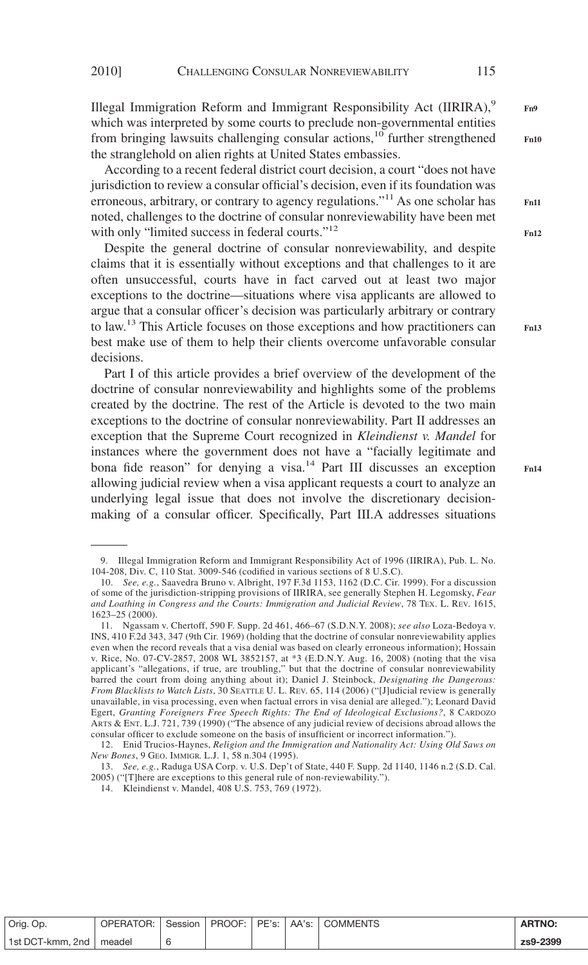Illegal Immigration Reform and Immigrant Responsibility Act (IIRIRA), $9$ which was interpreted by some courts to preclude non-governmental entities from bringing lawsuits challenging consular actions,<sup>10</sup> further strengthened the stranglehold on alien rights at United States embassies.

According to a recent federal district court decision, a court "does not have jurisdiction to review a consular official's decision, even if its foundation was erroneous, arbitrary, or contrary to agency regulations."11 As one scholar has noted, challenges to the doctrine of consular nonreviewability have been met with only "limited success in federal courts."<sup>12</sup>

Despite the general doctrine of consular nonreviewability, and despite claims that it is essentially without exceptions and that challenges to it are often unsuccessful, courts have in fact carved out at least two major exceptions to the doctrine—situations where visa applicants are allowed to argue that a consular officer's decision was particularly arbitrary or contrary to law.<sup>13</sup> This Article focuses on those exceptions and how practitioners can best make use of them to help their clients overcome unfavorable consular decisions.

Part I of this article provides a brief overview of the development of the doctrine of consular nonreviewability and highlights some of the problems created by the doctrine. The rest of the Article is devoted to the two main exceptions to the doctrine of consular nonreviewability. Part II addresses an exception that the Supreme Court recognized in *Kleindienst v. Mandel* for instances where the government does not have a "facially legitimate and bona fide reason" for denying a visa.<sup>14</sup> Part III discusses an exception allowing judicial review when a visa applicant requests a court to analyze an underlying legal issue that does not involve the discretionary decisionmaking of a consular officer. Specifically, Part III.A addresses situations

14. Kleindienst v. Mandel, 408 U.S. 753, 769 (1972).

| Orig. Op.                 | <b>OPERATOR: I</b> |  |  | Session   PROOF:   PE's:   AA's:   COMMENTS | <b>ARTNO:</b> |
|---------------------------|--------------------|--|--|---------------------------------------------|---------------|
| 1st DCT-kmm. 2nd   meadel |                    |  |  |                                             | zs9-2399      |

**Fn9**

**Fn10**

**Fn11**

**Fn12**

<sup>9.</sup> Illegal Immigration Reform and Immigrant Responsibility Act of 1996 (IIRIRA), Pub. L. No. 104-208, Div. C, 110 Stat. 3009-546 (codified in various sections of 8 U.S.C).

<sup>10.</sup> *See, e.g.*, Saavedra Bruno v. Albright, 197 F.3d 1153, 1162 (D.C. Cir. 1999). For a discussion of some of the jurisdiction-stripping provisions of IIRIRA, see generally Stephen H. Legomsky, *Fear and Loathing in Congress and the Courts: Immigration and Judicial Review*, 78 TEX. L. REV. 1615, 1623–25 (2000).

<sup>11.</sup> Ngassam v. Chertoff, 590 F. Supp. 2d 461, 466–67 (S.D.N.Y. 2008); *see also* Loza-Bedoya v. INS, 410 F.2d 343, 347 (9th Cir. 1969) (holding that the doctrine of consular nonreviewability applies even when the record reveals that a visa denial was based on clearly erroneous information); Hossain v. Rice, No. 07-CV-2857, 2008 WL 3852157, at \*3 (E.D.N.Y. Aug. 16, 2008) (noting that the visa applicant's "allegations, if true, are troubling," but that the doctrine of consular nonreviewability barred the court from doing anything about it); Daniel J. Steinbock, *Designating the Dangerous: From Blacklists to Watch Lists*, 30 SEATTLE U. L. REV. 65, 114 (2006) ("[J]udicial review is generally unavailable, in visa processing, even when factual errors in visa denial are alleged."); Leonard David Egert, *Granting Foreigners Free Speech Rights: The End of Ideological Exclusions?*,8CARDOZO ARTS & ENT. L.J. 721, 739 (1990) ("The absence of any judicial review of decisions abroad allows the consular officer to exclude someone on the basis of insufficient or incorrect information.").

<sup>12.</sup> Enid Trucios-Haynes, *Religion and the Immigration and Nationality Act: Using Old Saws on New Bones*,9GEO. IMMIGR. L.J. 1, 58 n.304 (1995).

<sup>13.</sup> *See, e.g.*, Raduga USA Corp. v. U.S. Dep't of State, 440 F. Supp. 2d 1140, 1146 n.2 (S.D. Cal. 2005) ("[T]here are exceptions to this general rule of non-reviewability.").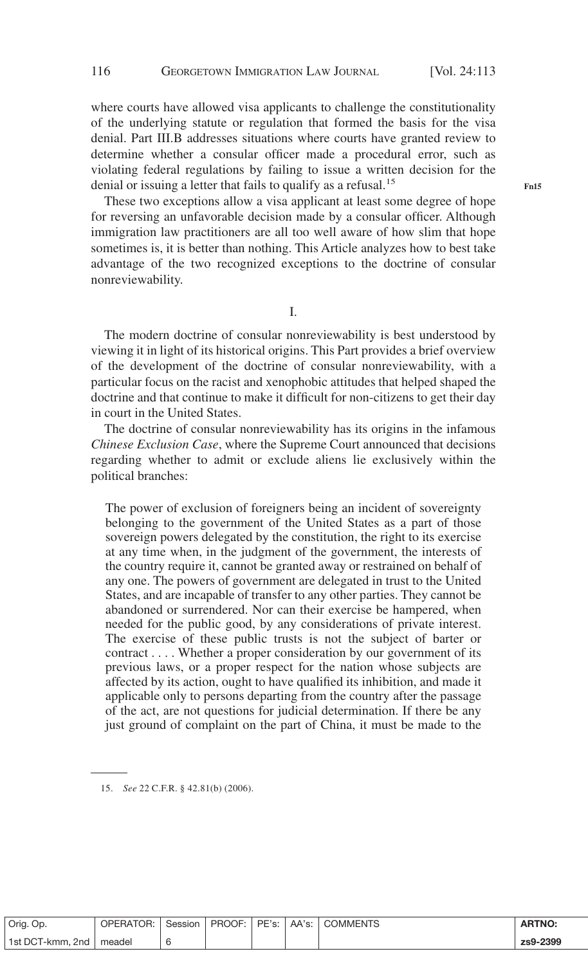where courts have allowed visa applicants to challenge the constitutionality of the underlying statute or regulation that formed the basis for the visa denial. Part III.B addresses situations where courts have granted review to determine whether a consular officer made a procedural error, such as violating federal regulations by failing to issue a written decision for the denial or issuing a letter that fails to qualify as a refusal.<sup>15</sup>

These two exceptions allow a visa applicant at least some degree of hope for reversing an unfavorable decision made by a consular officer. Although immigration law practitioners are all too well aware of how slim that hope sometimes is, it is better than nothing. This Article analyzes how to best take advantage of the two recognized exceptions to the doctrine of consular nonreviewability.

I.

The modern doctrine of consular nonreviewability is best understood by viewing it in light of its historical origins. This Part provides a brief overview of the development of the doctrine of consular nonreviewability, with a particular focus on the racist and xenophobic attitudes that helped shaped the doctrine and that continue to make it difficult for non-citizens to get their day in court in the United States.

The doctrine of consular nonreviewability has its origins in the infamous *Chinese Exclusion Case*, where the Supreme Court announced that decisions regarding whether to admit or exclude aliens lie exclusively within the political branches:

The power of exclusion of foreigners being an incident of sovereignty belonging to the government of the United States as a part of those sovereign powers delegated by the constitution, the right to its exercise at any time when, in the judgment of the government, the interests of the country require it, cannot be granted away or restrained on behalf of any one. The powers of government are delegated in trust to the United States, and are incapable of transfer to any other parties. They cannot be abandoned or surrendered. Nor can their exercise be hampered, when needed for the public good, by any considerations of private interest. The exercise of these public trusts is not the subject of barter or contract.... Whether a proper consideration by our government of its previous laws, or a proper respect for the nation whose subjects are affected by its action, ought to have qualified its inhibition, and made it applicable only to persons departing from the country after the passage of the act, are not questions for judicial determination. If there be any just ground of complaint on the part of China, it must be made to the

| Orig. Op.        | OPERATOR: | Session | PROOF: I | PE's: I | AA's: I | <b>COMMENTS</b> | <b>ARTNO:</b> |
|------------------|-----------|---------|----------|---------|---------|-----------------|---------------|
| 1st DCT-kmm, 2nd | meadel    |         |          |         |         |                 | zs9-2399      |

<sup>15.</sup> *See* 22 C.F.R. § 42.81(b) (2006).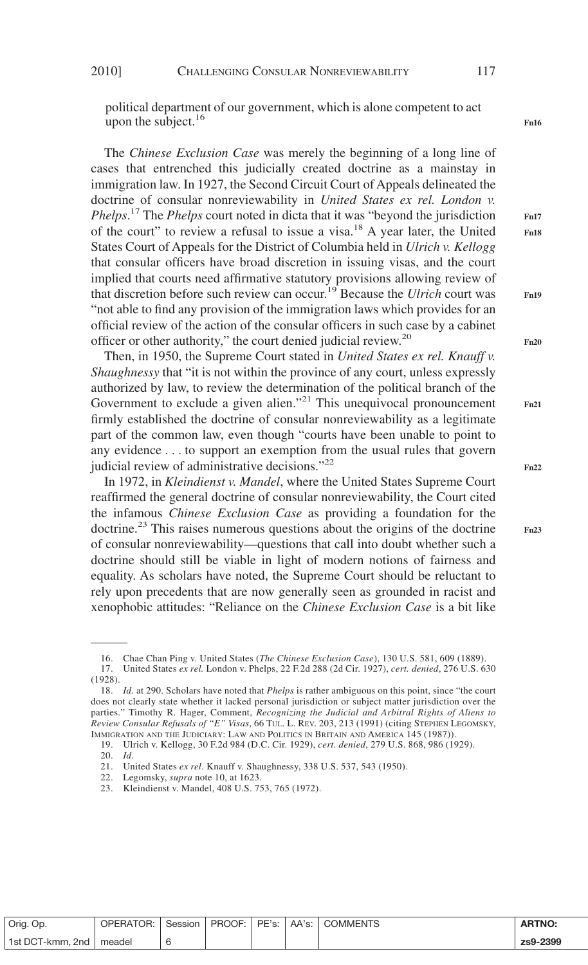political department of our government, which is alone competent to act upon the subject.<sup>16</sup>

The *Chinese Exclusion Case* was merely the beginning of a long line of cases that entrenched this judicially created doctrine as a mainstay in immigration law. In 1927, the Second Circuit Court of Appeals delineated the doctrine of consular nonreviewability in *United States ex rel. London v. Phelps*. <sup>17</sup> The *Phelps* court noted in dicta that it was "beyond the jurisdiction of the court" to review a refusal to issue a visa.18 A year later, the United States Court of Appeals for the District of Columbia held in *Ulrich v. Kellogg* that consular officers have broad discretion in issuing visas, and the court implied that courts need affirmative statutory provisions allowing review of that discretion before such review can occur.19 Because the *Ulrich* court was "not able to find any provision of the immigration laws which provides for an official review of the action of the consular officers in such case by a cabinet officer or other authority," the court denied judicial review.<sup>20</sup>

Then, in 1950, the Supreme Court stated in *United States ex rel. Knauff v. Shaughnessy* that "it is not within the province of any court, unless expressly authorized by law, to review the determination of the political branch of the Government to exclude a given alien."<sup>21</sup> This unequivocal pronouncement firmly established the doctrine of consular nonreviewability as a legitimate part of the common law, even though "courts have been unable to point to any evidence . . . to support an exemption from the usual rules that govern judicial review of administrative decisions."<sup>22</sup>

In 1972, in *Kleindienst v. Mandel*, where the United States Supreme Court reaffirmed the general doctrine of consular nonreviewability, the Court cited the infamous *Chinese Exclusion Case* as providing a foundation for the doctrine.<sup>23</sup> This raises numerous questions about the origins of the doctrine of consular nonreviewability—questions that call into doubt whether such a doctrine should still be viable in light of modern notions of fairness and equality. As scholars have noted, the Supreme Court should be reluctant to rely upon precedents that are now generally seen as grounded in racist and xenophobic attitudes: "Reliance on the *Chinese Exclusion Case* is a bit like

| Orig. Op.                 | OPERATOR:   Session   PROOF:   PE's:   AA's:   COMMENTS |  |  | <b>ARTNO:</b> |
|---------------------------|---------------------------------------------------------|--|--|---------------|
| 1st DCT-kmm, 2nd   meadel |                                                         |  |  | zs9-2399      |

**Fn16**

**Fn17 Fn18**

**Fn20**

**Fn21**

**Fn19**

**Fn22**

<sup>16.</sup> Chae Chan Ping v. United States (*The Chinese Exclusion Case*), 130 U.S. 581, 609 (1889).

<sup>17.</sup> United States *ex rel.* London v. Phelps, 22 F.2d 288 (2d Cir. 1927), *cert. denied*, 276 U.S. 630 (1928).

<sup>18.</sup> *Id.* at 290. Scholars have noted that *Phelps* is rather ambiguous on this point, since "the court does not clearly state whether it lacked personal jurisdiction or subject matter jurisdiction over the parties." Timothy R. Hager, Comment, *Recognizing the Judicial and Arbitral Rights of Aliens to Review Consular Refusals of "E" Visas*, 66 TUL. L. REV. 203, 213 (1991) (citing STEPHEN LEGOMSKY, IMMIGRATION AND THE JUDICIARY: LAW AND POLITICS IN BRITAIN AND AMERICA 145 (1987)).

<sup>19.</sup> Ulrich v. Kellogg, 30 F.2d 984 (D.C. Cir. 1929), *cert. denied*, 279 U.S. 868, 986 (1929).

<sup>20.</sup> *Id.*

<sup>21.</sup> United States *ex rel*. Knauff v. Shaughnessy, 338 U.S. 537, 543 (1950).

<sup>22.</sup> Legomsky, *supra* note 10, at 1623.

<sup>23.</sup> Kleindienst v. Mandel, 408 U.S. 753, 765 (1972).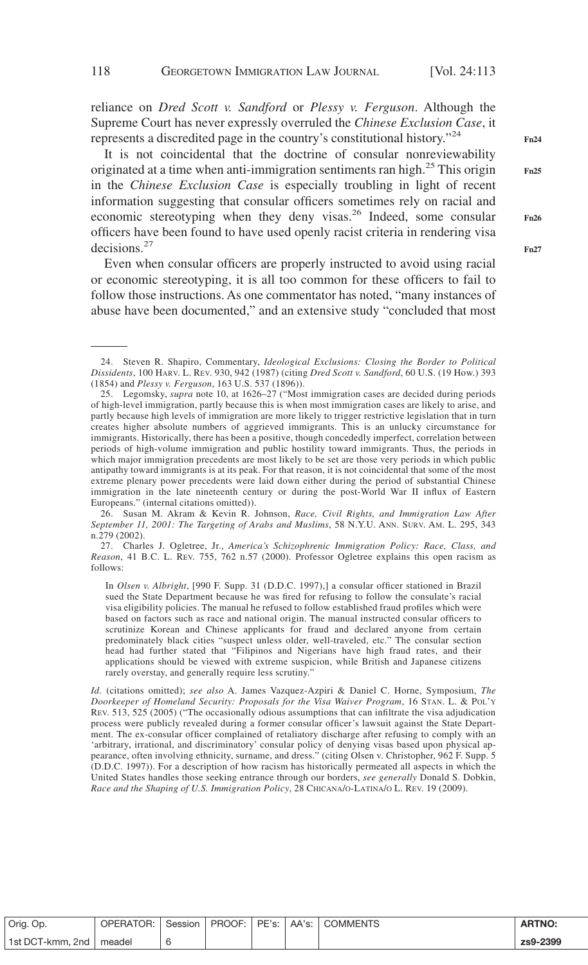reliance on *Dred Scott v. Sandford* or *Plessy v. Ferguson*. Although the Supreme Court has never expressly overruled the *Chinese Exclusion Case*, it represents a discredited page in the country's constitutional history."24

It is not coincidental that the doctrine of consular nonreviewability originated at a time when anti-immigration sentiments ran high.<sup>25</sup> This origin in the *Chinese Exclusion Case* is especially troubling in light of recent information suggesting that consular officers sometimes rely on racial and economic stereotyping when they deny visas.<sup>26</sup> Indeed, some consular officers have been found to have used openly racist criteria in rendering visa decisions.<sup>27</sup>

Even when consular officers are properly instructed to avoid using racial or economic stereotyping, it is all too common for these officers to fail to follow those instructions. As one commentator has noted, "many instances of abuse have been documented," and an extensive study "concluded that most

26. Susan M. Akram & Kevin R. Johnson, *Race, Civil Rights, and Immigration Law After September 11, 2001: The Targeting of Arabs and Muslims*, 58 N.Y.U. ANN. SURV. AM. L. 295, 343 n.279 (2002).

27. Charles J. Ogletree, Jr., *America's Schizophrenic Immigration Policy: Race, Class, and Reason*, 41 B.C. L. REV. 755, 762 n.57 (2000). Professor Ogletree explains this open racism as follows:

In *Olsen v. Albright*, [990 F. Supp. 31 (D.D.C. 1997),] a consular officer stationed in Brazil sued the State Department because he was fired for refusing to follow the consulate's racial visa eligibility policies. The manual he refused to follow established fraud profiles which were based on factors such as race and national origin. The manual instructed consular officers to scrutinize Korean and Chinese applicants for fraud and declared anyone from certain predominately black cities "suspect unless older, well-traveled, etc." The consular section head had further stated that "Filipinos and Nigerians have high fraud rates, and their applications should be viewed with extreme suspicion, while British and Japanese citizens rarely overstay, and generally require less scrutiny."

*Id.* (citations omitted); *see also* A. James Vazquez-Azpiri & Daniel C. Horne, Symposium, *The Doorkeeper of Homeland Security: Proposals for the Visa Waiver Program*, 16 STAN. L. & POL'Y REV. 513, 525 (2005) ("The occasionally odious assumptions that can infiltrate the visa adjudication process were publicly revealed during a former consular officer's lawsuit against the State Department. The ex-consular officer complained of retaliatory discharge after refusing to comply with an 'arbitrary, irrational, and discriminatory' consular policy of denying visas based upon physical appearance, often involving ethnicity, surname, and dress." (citing Olsen v. Christopher, 962 F. Supp. 5 (D.D.C. 1997)). For a description of how racism has historically permeated all aspects in which the United States handles those seeking entrance through our borders, *see generally* Donald S. Dobkin, *Race and the Shaping of U.S. Immigration Policy*, 28 CHICANA/O-LATINA/O L. REV. 19 (2009).

**Fn25**

**Fn26**

| Orig. Op.                 | OPERATOR: | Session |  | PROOF: PE's: AA's: COMMENTS | <b>ARTNO:</b> |
|---------------------------|-----------|---------|--|-----------------------------|---------------|
| 1st DCT-kmm, 2nd   meadel |           |         |  |                             | zs9-2399      |

<sup>24.</sup> Steven R. Shapiro, Commentary, *Ideological Exclusions: Closing the Border to Political Dissidents*, 100 HARV. L. REV. 930, 942 (1987) (citing *Dred Scott v. Sandford*, 60 U.S. (19 How.) 393 (1854) and *Plessy v. Ferguson*, 163 U.S. 537 (1896)).

<sup>25.</sup> Legomsky, *supra* note 10, at 1626–27 ("Most immigration cases are decided during periods of high-level immigration, partly because this is when most immigration cases are likely to arise, and partly because high levels of immigration are more likely to trigger restrictive legislation that in turn creates higher absolute numbers of aggrieved immigrants. This is an unlucky circumstance for immigrants. Historically, there has been a positive, though concededly imperfect, correlation between periods of high-volume immigration and public hostility toward immigrants. Thus, the periods in which major immigration precedents are most likely to be set are those very periods in which public antipathy toward immigrants is at its peak. For that reason, it is not coincidental that some of the most extreme plenary power precedents were laid down either during the period of substantial Chinese immigration in the late nineteenth century or during the post-World War II influx of Eastern Europeans." (internal citations omitted)).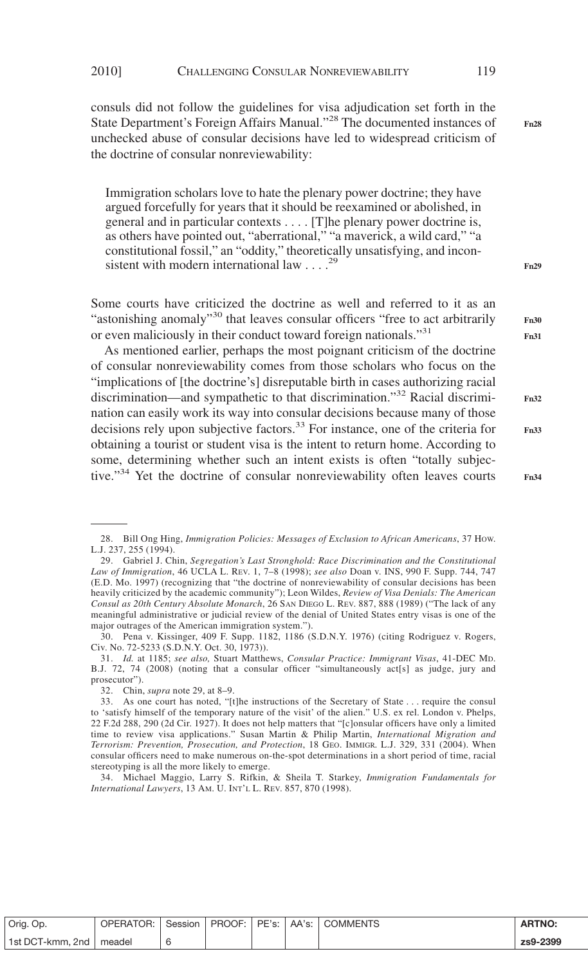consuls did not follow the guidelines for visa adjudication set forth in the State Department's Foreign Affairs Manual."<sup>28</sup> The documented instances of unchecked abuse of consular decisions have led to widespread criticism of the doctrine of consular nonreviewability:

Immigration scholars love to hate the plenary power doctrine; they have argued forcefully for years that it should be reexamined or abolished, in general and in particular contexts.... [T]he plenary power doctrine is, as others have pointed out, "aberrational," "a maverick, a wild card," "a constitutional fossil," an "oddity," theoretically unsatisfying, and inconsistent with modern international law  $\ldots$ .<sup>29</sup>

Some courts have criticized the doctrine as well and referred to it as an "astonishing anomaly"<sup>30</sup> that leaves consular officers "free to act arbitrarily or even maliciously in their conduct toward foreign nationals."<sup>31</sup>

As mentioned earlier, perhaps the most poignant criticism of the doctrine of consular nonreviewability comes from those scholars who focus on the "implications of [the doctrine's] disreputable birth in cases authorizing racial discrimination—and sympathetic to that discrimination."<sup>32</sup> Racial discrimination can easily work its way into consular decisions because many of those decisions rely upon subjective factors.<sup>33</sup> For instance, one of the criteria for obtaining a tourist or student visa is the intent to return home. According to some, determining whether such an intent exists is often "totally subjective."<sup>34</sup> Yet the doctrine of consular nonreviewability often leaves courts **Fn32 Fn33**

34. Michael Maggio, Larry S. Rifkin, & Sheila T. Starkey, *Immigration Fundamentals for International Lawyers*, 13 AM. U. INT'L L. REV. 857, 870 (1998).

| Orig. Op.                 | <b>OPERATOR:</b> | Session |  | PROOF: PE's: AA's: COMMENTS | <b>ARTNO:</b> |
|---------------------------|------------------|---------|--|-----------------------------|---------------|
| 1st DCT-kmm, 2nd   meadel |                  |         |  |                             | zs9-2399      |

**Fn28**

**Fn29**

**Fn30 Fn31**

<sup>28.</sup> Bill Ong Hing, *Immigration Policies: Messages of Exclusion to African Americans*, 37 HOW. L.J. 237, 255 (1994).

<sup>29.</sup> Gabriel J. Chin, *Segregation's Last Stronghold: Race Discrimination and the Constitutional Law of Immigration*, 46 UCLA L. REV. 1, 7–8 (1998); *see also* Doan v. INS, 990 F. Supp. 744, 747 (E.D. Mo. 1997) (recognizing that "the doctrine of nonreviewability of consular decisions has been heavily criticized by the academic community"); Leon Wildes, *Review of Visa Denials: The American Consul as 20th Century Absolute Monarch*, 26 SAN DIEGO L. REV. 887, 888 (1989) ("The lack of any meaningful administrative or judicial review of the denial of United States entry visas is one of the major outrages of the American immigration system.").

<sup>30.</sup> Pena v. Kissinger, 409 F. Supp. 1182, 1186 (S.D.N.Y. 1976) (citing Rodriguez v. Rogers, Civ. No. 72-5233 (S.D.N.Y. Oct. 30, 1973)).

<sup>31.</sup> *Id.* at 1185; *see also,* Stuart Matthews, *Consular Practice: Immigrant Visas*, 41-DEC MD. B.J. 72, 74 (2008) (noting that a consular officer "simultaneously act[s] as judge, jury and prosecutor").

<sup>32.</sup> Chin, *supra* note 29, at 8–9.

<sup>33.</sup> As one court has noted, "[t]he instructions of the Secretary of State... require the consul to 'satisfy himself of the temporary nature of the visit' of the alien." U.S. ex rel. London v. Phelps, 22 F.2d 288, 290 (2d Cir. 1927). It does not help matters that "[c]onsular officers have only a limited time to review visa applications." Susan Martin & Philip Martin, *International Migration and Terrorism: Prevention, Prosecution, and Protection*, 18 GEO. IMMIGR. L.J. 329, 331 (2004). When consular officers need to make numerous on-the-spot determinations in a short period of time, racial stereotyping is all the more likely to emerge.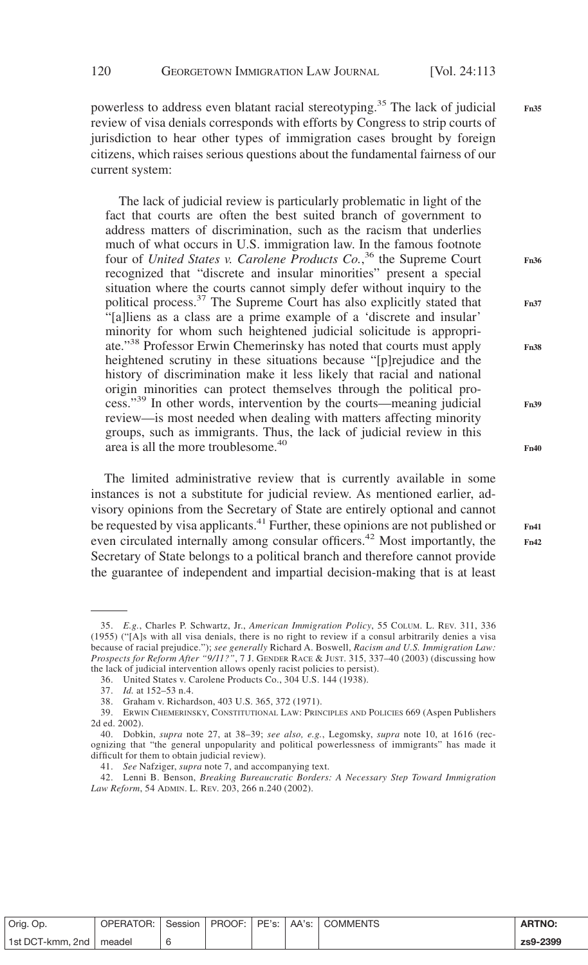**Fn36**

**Fn37**

**Fn38**

**Fn39**

**Fn40**

**Fn41 Fn42**

powerless to address even blatant racial stereotyping.<sup>35</sup> The lack of judicial review of visa denials corresponds with efforts by Congress to strip courts of jurisdiction to hear other types of immigration cases brought by foreign citizens, which raises serious questions about the fundamental fairness of our current system: **Fn35**

The lack of judicial review is particularly problematic in light of the fact that courts are often the best suited branch of government to address matters of discrimination, such as the racism that underlies much of what occurs in U.S. immigration law. In the famous footnote four of *United States v. Carolene Products Co.*, <sup>36</sup> the Supreme Court recognized that "discrete and insular minorities" present a special situation where the courts cannot simply defer without inquiry to the political process.<sup>37</sup> The Supreme Court has also explicitly stated that "[a]liens as a class are a prime example of a 'discrete and insular' minority for whom such heightened judicial solicitude is appropriate."38 Professor Erwin Chemerinsky has noted that courts must apply heightened scrutiny in these situations because "[p]rejudice and the history of discrimination make it less likely that racial and national origin minorities can protect themselves through the political process."39 In other words, intervention by the courts—meaning judicial review—is most needed when dealing with matters affecting minority groups, such as immigrants. Thus, the lack of judicial review in this area is all the more troublesome.<sup>40</sup>

The limited administrative review that is currently available in some instances is not a substitute for judicial review. As mentioned earlier, advisory opinions from the Secretary of State are entirely optional and cannot be requested by visa applicants.<sup>41</sup> Further, these opinions are not published or even circulated internally among consular officers.<sup>42</sup> Most importantly, the Secretary of State belongs to a political branch and therefore cannot provide the guarantee of independent and impartial decision-making that is at least

| Orig. Op.                 | OPERATOR: I |  |  | Session   PROOF:   PE's:   AA's:   COMMENTS | <b>ARTNO</b> |
|---------------------------|-------------|--|--|---------------------------------------------|--------------|
| 1st DCT-kmm. 2nd   meadel |             |  |  |                                             | zs9-2399     |

<sup>35.</sup> *E.g.*, Charles P. Schwartz, Jr., *American Immigration Policy*, 55 COLUM. L. REV. 311, 336 (1955) ("[A]s with all visa denials, there is no right to review if a consul arbitrarily denies a visa because of racial prejudice."); *see generally* Richard A. Boswell, *Racism and U.S. Immigration Law: Prospects for Reform After "9/11?"*, 7 J. GENDER RACE & JUST. 315, 337–40 (2003) (discussing how the lack of judicial intervention allows openly racist policies to persist).

<sup>36.</sup> United States v. Carolene Products Co., 304 U.S. 144 (1938).

<sup>37.</sup> *Id.* at 152–53 n.4.

<sup>38.</sup> Graham v. Richardson, 403 U.S. 365, 372 (1971).

<sup>39.</sup> ERWIN CHEMERINSKY, CONSTITUTIONAL LAW: PRINCIPLES AND POLICIES 669 (Aspen Publishers 2d ed. 2002).

<sup>40.</sup> Dobkin, *supra* note 27, at 38–39; *see also, e.g.*, Legomsky, *supra* note 10, at 1616 (recognizing that "the general unpopularity and political powerlessness of immigrants" has made it difficult for them to obtain judicial review).

<sup>41.</sup> *See* Nafziger, *supra* note 7, and accompanying text.

<sup>42.</sup> Lenni B. Benson, *Breaking Bureaucratic Borders: A Necessary Step Toward Immigration Law Reform*, 54 ADMIN. L. REV. 203, 266 n.240 (2002).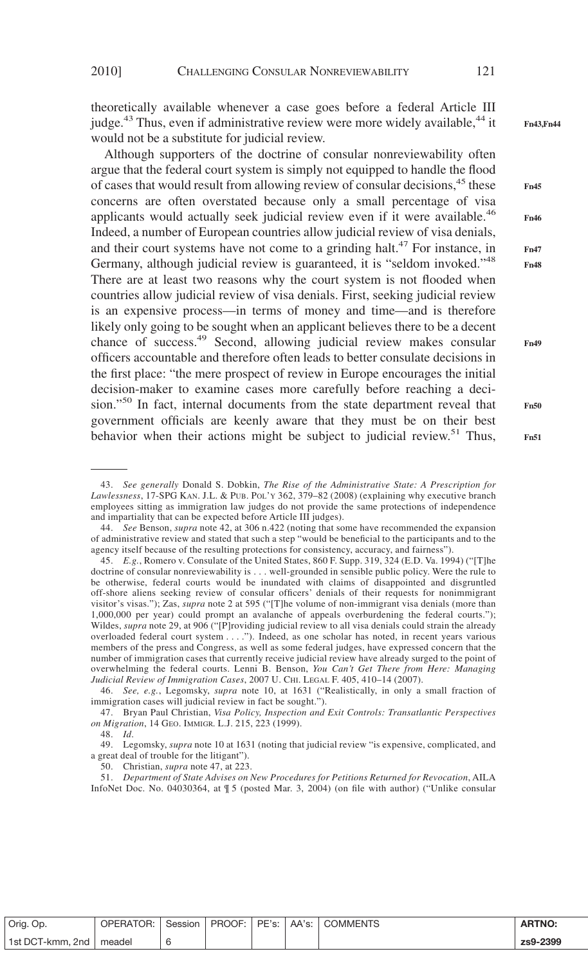theoretically available whenever a case goes before a federal Article III judge.<sup>43</sup> Thus, even if administrative review were more widely available,<sup>44</sup> it would not be a substitute for judicial review.

Although supporters of the doctrine of consular nonreviewability often argue that the federal court system is simply not equipped to handle the flood of cases that would result from allowing review of consular decisions,<sup>45</sup> these concerns are often overstated because only a small percentage of visa applicants would actually seek judicial review even if it were available.<sup>46</sup> Indeed, a number of European countries allow judicial review of visa denials, and their court systems have not come to a grinding halt.<sup>47</sup> For instance, in Germany, although judicial review is guaranteed, it is "seldom invoked."<sup>48</sup> There are at least two reasons why the court system is not flooded when countries allow judicial review of visa denials. First, seeking judicial review is an expensive process—in terms of money and time—and is therefore likely only going to be sought when an applicant believes there to be a decent chance of success.49 Second, allowing judicial review makes consular officers accountable and therefore often leads to better consulate decisions in the first place: "the mere prospect of review in Europe encourages the initial decision-maker to examine cases more carefully before reaching a decision."50 In fact, internal documents from the state department reveal that government officials are keenly aware that they must be on their best behavior when their actions might be subject to judicial review.<sup>51</sup> Thus,

48. *Id*.

51. *Department of State Advises on New Procedures for Petitions Returned for Revocation*, AILA InfoNet Doc. No. 04030364, at ¶ 5 (posted Mar. 3, 2004) (on file with author) ("Unlike consular **Fn47 Fn48**

**Fn45**

| Orig. Op.                 | OPERATOR: | Session |  |  | <b>ARTNO:</b> |
|---------------------------|-----------|---------|--|--|---------------|
| 1st DCT-kmm, 2nd   meadel |           |         |  |  | zs9-2399      |

<sup>43.</sup> *See generally* Donald S. Dobkin, *The Rise of the Administrative State: A Prescription for Lawlessness*, 17-SPG KAN. J.L. & PUB. POL'Y 362, 379–82 (2008) (explaining why executive branch employees sitting as immigration law judges do not provide the same protections of independence and impartiality that can be expected before Article III judges).

<sup>44.</sup> *See* Benson, *supra* note 42, at 306 n.422 (noting that some have recommended the expansion of administrative review and stated that such a step "would be beneficial to the participants and to the agency itself because of the resulting protections for consistency, accuracy, and fairness").

<sup>45.</sup> *E.g.*, Romero v. Consulate of the United States, 860 F. Supp. 319, 324 (E.D. Va. 1994) ("[T]he doctrine of consular nonreviewability is... well-grounded in sensible public policy. Were the rule to be otherwise, federal courts would be inundated with claims of disappointed and disgruntled off-shore aliens seeking review of consular officers' denials of their requests for nonimmigrant visitor's visas."); Zas, *supra* note 2 at 595 ("[T]he volume of non-immigrant visa denials (more than 1,000,000 per year) could prompt an avalanche of appeals overburdening the federal courts."); Wildes, *supra* note 29, at 906 ("[P]roviding judicial review to all visa denials could strain the already overloaded federal court system... ."). Indeed, as one scholar has noted, in recent years various members of the press and Congress, as well as some federal judges, have expressed concern that the number of immigration cases that currently receive judicial review have already surged to the point of overwhelming the federal courts. Lenni B. Benson, *You Can't Get There from Here: Managing Judicial Review of Immigration Cases*, 2007 U. CHI. LEGAL F. 405, 410–14 (2007).

<sup>46.</sup> *See, e.g.*, Legomsky, *supra* note 10, at 1631 ("Realistically, in only a small fraction of immigration cases will judicial review in fact be sought.").

<sup>47.</sup> Bryan Paul Christian, *Visa Policy, Inspection and Exit Controls: Transatlantic Perspectives on Migration*, 14 GEO. IMMIGR. L.J. 215, 223 (1999).

<sup>49.</sup> Legomsky, *supra* note 10 at 1631 (noting that judicial review "is expensive, complicated, and a great deal of trouble for the litigant").

<sup>50.</sup> Christian, *supra* note 47, at 223.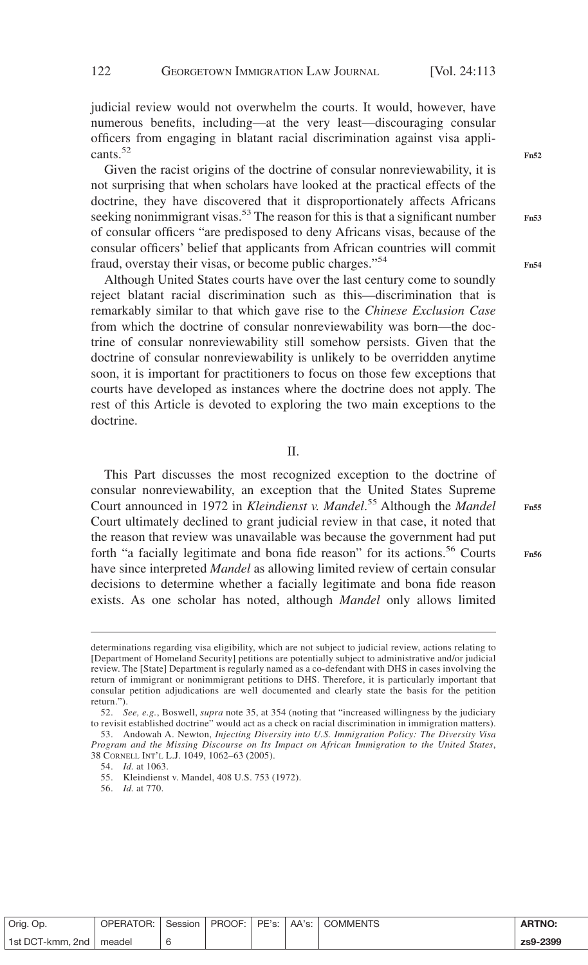judicial review would not overwhelm the courts. It would, however, have numerous benefits, including—at the very least—discouraging consular officers from engaging in blatant racial discrimination against visa applicants.<sup>52</sup>

Given the racist origins of the doctrine of consular nonreviewability, it is not surprising that when scholars have looked at the practical effects of the doctrine, they have discovered that it disproportionately affects Africans seeking nonimmigrant visas.<sup>53</sup> The reason for this is that a significant number of consular officers "are predisposed to deny Africans visas, because of the consular officers' belief that applicants from African countries will commit fraud, overstay their visas, or become public charges."54

Although United States courts have over the last century come to soundly reject blatant racial discrimination such as this—discrimination that is remarkably similar to that which gave rise to the *Chinese Exclusion Case* from which the doctrine of consular nonreviewability was born—the doctrine of consular nonreviewability still somehow persists. Given that the doctrine of consular nonreviewability is unlikely to be overridden anytime soon, it is important for practitioners to focus on those few exceptions that courts have developed as instances where the doctrine does not apply. The rest of this Article is devoted to exploring the two main exceptions to the doctrine.

II.

This Part discusses the most recognized exception to the doctrine of consular nonreviewability, an exception that the United States Supreme Court announced in 1972 in *Kleindienst v. Mandel*. <sup>55</sup> Although the *Mandel* Court ultimately declined to grant judicial review in that case, it noted that the reason that review was unavailable was because the government had put forth "a facially legitimate and bona fide reason" for its actions.<sup>56</sup> Courts have since interpreted *Mandel* as allowing limited review of certain consular decisions to determine whether a facially legitimate and bona fide reason exists. As one scholar has noted, although *Mandel* only allows limited

**Fn56**

54. *Id.* at 1063.

56. *Id.* at 770.

| Orig. Op.        | OPERATOR: | Session   PROOF: |  | PE's:   AA's:   COMMENTS | <b>ARTNO:</b> |
|------------------|-----------|------------------|--|--------------------------|---------------|
| 1st DCT-kmm, 2nd | meadel    |                  |  |                          | zs9-2399      |

**Fn52**

**Fn53**

**Fn55**

determinations regarding visa eligibility, which are not subject to judicial review, actions relating to [Department of Homeland Security] petitions are potentially subject to administrative and/or judicial review. The [State] Department is regularly named as a co-defendant with DHS in cases involving the return of immigrant or nonimmigrant petitions to DHS. Therefore, it is particularly important that consular petition adjudications are well documented and clearly state the basis for the petition return.").

<sup>52.</sup> *See, e.g.*, Boswell, *supra* note 35, at 354 (noting that "increased willingness by the judiciary to revisit established doctrine" would act as a check on racial discrimination in immigration matters).

<sup>53.</sup> Andowah A. Newton, *Injecting Diversity into U.S. Immigration Policy: The Diversity Visa Program and the Missing Discourse on Its Impact on African Immigration to the United States*, 38 CORNELL INT'L L.J. 1049, 1062–63 (2005).

<sup>55.</sup> Kleindienst v. Mandel, 408 U.S. 753 (1972).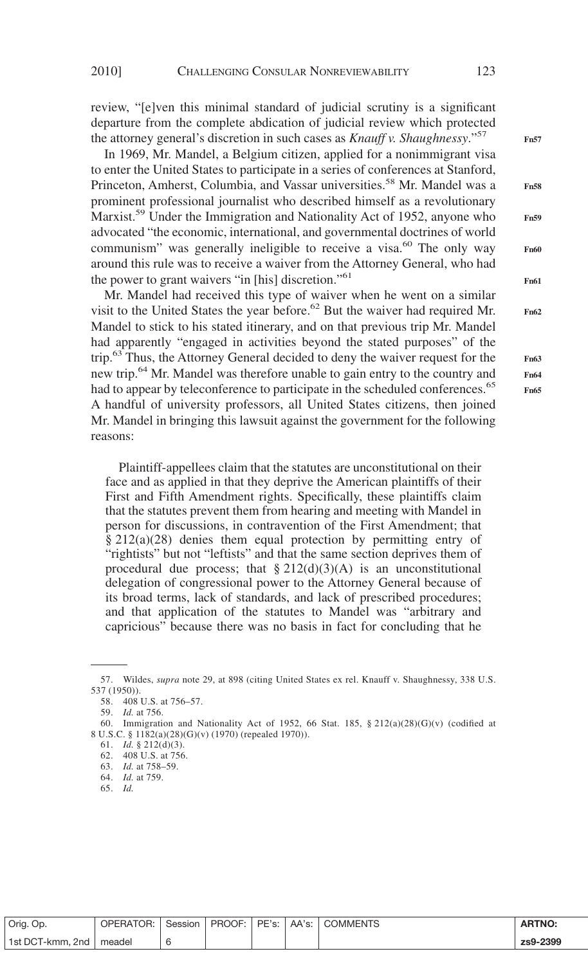review, "[e]ven this minimal standard of judicial scrutiny is a significant departure from the complete abdication of judicial review which protected the attorney general's discretion in such cases as *Knauff v. Shaughnessy*."57

In 1969, Mr. Mandel, a Belgium citizen, applied for a nonimmigrant visa to enter the United States to participate in a series of conferences at Stanford, Princeton, Amherst, Columbia, and Vassar universities.<sup>58</sup> Mr. Mandel was a prominent professional journalist who described himself as a revolutionary Marxist.<sup>59</sup> Under the Immigration and Nationality Act of 1952, anyone who advocated "the economic, international, and governmental doctrines of world communism" was generally ineligible to receive a visa.<sup>60</sup> The only way around this rule was to receive a waiver from the Attorney General, who had the power to grant waivers "in [his] discretion."<sup>61</sup>

Mr. Mandel had received this type of waiver when he went on a similar visit to the United States the year before.<sup>62</sup> But the waiver had required Mr. Mandel to stick to his stated itinerary, and on that previous trip Mr. Mandel had apparently "engaged in activities beyond the stated purposes" of the trip.63 Thus, the Attorney General decided to deny the waiver request for the new trip.<sup>64</sup> Mr. Mandel was therefore unable to gain entry to the country and had to appear by teleconference to participate in the scheduled conferences.<sup>65</sup> A handful of university professors, all United States citizens, then joined Mr. Mandel in bringing this lawsuit against the government for the following reasons:

Plaintiff-appellees claim that the statutes are unconstitutional on their face and as applied in that they deprive the American plaintiffs of their First and Fifth Amendment rights. Specifically, these plaintiffs claim that the statutes prevent them from hearing and meeting with Mandel in person for discussions, in contravention of the First Amendment; that § 212(a)(28) denies them equal protection by permitting entry of "rightists" but not "leftists" and that the same section deprives them of procedural due process; that  $\S 212(d)(3)(A)$  is an unconstitutional delegation of congressional power to the Attorney General because of its broad terms, lack of standards, and lack of prescribed procedures; and that application of the statutes to Mandel was "arbitrary and capricious" because there was no basis in fact for concluding that he

**Fn57 Fn58 Fn59 Fn60 Fn61 Fn62**

> **Fn63 Fn64 Fn65**

| Orig. Op.        | OPERATOR: | Session | PROOF: | PE's: | AA's: | <b>COMMENTS</b> | <b>ARTNO:</b> |
|------------------|-----------|---------|--------|-------|-------|-----------------|---------------|
| 1st DCT-kmm, 2nd | meadel    |         |        |       |       |                 | zs9-2399      |

<sup>57.</sup> Wildes, *supra* note 29, at 898 (citing United States ex rel. Knauff v. Shaughnessy, 338 U.S. 537 (1950)).

<sup>58. 408</sup> U.S. at 756–57.

<sup>59.</sup> *Id.* at 756.

<sup>60.</sup> Immigration and Nationality Act of 1952, 66 Stat. 185, § 212(a)(28)(G)(v) (codified at 8 U.S.C. § 1182(a)(28)(G)(v) (1970) (repealed 1970)).

<sup>61.</sup> *Id.* § 212(d)(3).

<sup>62. 408</sup> U.S. at 756.

<sup>63.</sup> *Id.* at 758–59.

<sup>64.</sup> *Id.* at 759.

<sup>65.</sup> *Id.*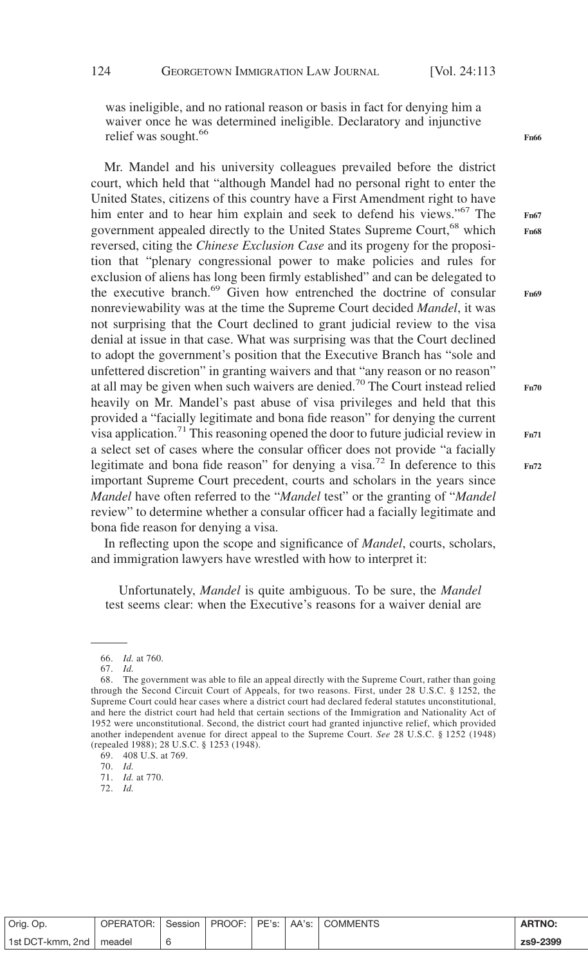was ineligible, and no rational reason or basis in fact for denying him a waiver once he was determined ineligible. Declaratory and injunctive relief was sought.<sup>66</sup>

Mr. Mandel and his university colleagues prevailed before the district court, which held that "although Mandel had no personal right to enter the United States, citizens of this country have a First Amendment right to have him enter and to hear him explain and seek to defend his views."<sup>67</sup> The government appealed directly to the United States Supreme Court,<sup>68</sup> which reversed, citing the *Chinese Exclusion Case* and its progeny for the proposition that "plenary congressional power to make policies and rules for exclusion of aliens has long been firmly established" and can be delegated to the executive branch.<sup>69</sup> Given how entrenched the doctrine of consular nonreviewability was at the time the Supreme Court decided *Mandel*, it was not surprising that the Court declined to grant judicial denial at issue in that case. What was surprising was that the Court declined to adopt the government's position that the Executive Branch has "sole and unfettered discretion" in granting waivers and that "any reason or no reason" at all may be given when such waivers are denied.<sup>70</sup> The Court instead relied heavily on Mr. Mandel's past abuse of visa privileges and held that this provided a "facially legitimate and bona fide reason" for denying the current visa application.<sup>71</sup> This reasoning opened the door to future judicial review in a select set of cases where the consular officer does not provide "a facially legitimate and bona fide reason" for denying a visa.<sup>72</sup> In deference to this important Supreme Court precedent, courts and scholars in the years since *Mandel* have often referred to the "*Mandel* test" or the granting of "*Mandel* review" to determine whether a consular officer had a facially legitimate and bona fide reason for denying a visa.

In reflecting upon the scope and significance of *Mandel*, courts, scholars, and immigration lawyers have wrestled with how to interpret it:

Unfortunately, *Mandel* is quite ambiguous. To be sure, the *Mandel* test seems clear: when the Executive's reasons for a waiver denial are

70. *Id.*

| review to the visa |
|--------------------|

**Fn70**

**Fn66**

**Fn67 Fn68**

**Fn69**

| Orig. Op.                 |  |  | OPERATOR: Session   PROOF: PE's: AA's: COMMENTS | <b>ARTNO:</b> |
|---------------------------|--|--|-------------------------------------------------|---------------|
| 1st DCT-kmm, 2nd   meadel |  |  |                                                 | zs9-2399      |

<sup>66.</sup> *Id.* at 760.

<sup>67.</sup> *Id.*

<sup>68.</sup> The government was able to file an appeal directly with the Supreme Court, rather than going through the Second Circuit Court of Appeals, for two reasons. First, under 28 U.S.C. § 1252, the Supreme Court could hear cases where a district court had declared federal statutes unconstitutional, and here the district court had held that certain sections of the Immigration and Nationality Act of 1952 were unconstitutional. Second, the district court had granted injunctive relief, which provided another independent avenue for direct appeal to the Supreme Court. *See* 28 U.S.C. § 1252 (1948) (repealed 1988); 28 U.S.C. § 1253 (1948).

<sup>69. 408</sup> U.S. at 769.

<sup>71.</sup> *Id.* at 770.

<sup>72.</sup> *Id.*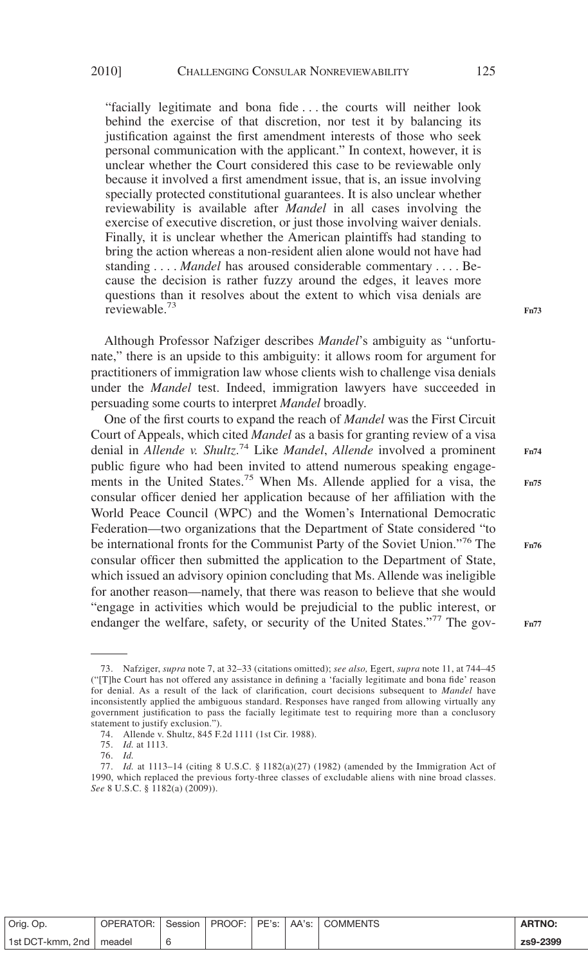"facially legitimate and bona fide . . . the courts will neither look behind the exercise of that discretion, nor test it by balancing its justification against the first amendment interests of those who seek personal communication with the applicant." In context, however, it is unclear whether the Court considered this case to be reviewable only because it involved a first amendment issue, that is, an issue involving specially protected constitutional guarantees. It is also unclear whether reviewability is available after *Mandel* in all cases involving the exercise of executive discretion, or just those involving waiver denials. Finally, it is unclear whether the American plaintiffs had standing to bring the action whereas a non-resident alien alone would not have had standing.... *Mandel* has aroused considerable commentary . . . . Because the decision is rather fuzzy around the edges, it leaves more questions than it resolves about the extent to which visa denials are reviewable.<sup>73</sup>

Although Professor Nafziger describes *Mandel*'s ambiguity as "unfortunate," there is an upside to this ambiguity: it allows room for argument for practitioners of immigration law whose clients wish to challenge visa denials under the *Mandel* test. Indeed, immigration lawyers have succeeded in persuading some courts to interpret *Mandel* broadly.

One of the first courts to expand the reach of *Mandel* was the First Circuit Court of Appeals, which cited *Mandel* as a basis for granting review of a visa denial in *Allende v. Shultz*. <sup>74</sup> Like *Mandel*, *Allende* involved a prominent public figure who had been invited to attend numerous speaking engagements in the United States.75 When Ms. Allende applied for a visa, the consular officer denied her application because of her affiliation with the World Peace Council (WPC) and the Women's International Democratic Federation—two organizations that the Department of State considered "to be international fronts for the Communist Party of the Soviet Union."<sup>76</sup> The consular officer then submitted the application to the Department of State, which issued an advisory opinion concluding that Ms. Allende was ineligible for another reason—namely, that there was reason to believe that she would "engage in activities which would be prejudicial to the public interest, or endanger the welfare, safety, or security of the United States."<sup>77</sup> The gov-

1st DCT-kmm, 2nd meadel 6 **zs9-2399**

<sup>73.</sup> Nafziger, *supra* note 7, at 32–33 (citations omitted); *see also,* Egert, *supra* note 11, at 744–45 ("[T]he Court has not offered any assistance in defining a 'facially legitimate and bona fide' reason for denial. As a result of the lack of clarification, court decisions subsequent to *Mandel* have inconsistently applied the ambiguous standard. Responses have ranged from allowing virtually any government justification to pass the facially legitimate test to requiring more than a conclusory statement to justify exclusion.").

<sup>74.</sup> Allende v. Shultz, 845 F.2d 1111 (1st Cir. 1988).

<sup>75.</sup> *Id.* at 1113.

<sup>76.</sup> *Id.*

<sup>77.</sup> *Id.* at 1113–14 (citing 8 U.S.C. § 1182(a)(27) (1982) (amended by the Immigration Act of 1990, which replaced the previous forty-three classes of excludable aliens with nine broad classes. *See* 8 U.S.C. § 1182(a) (2009)).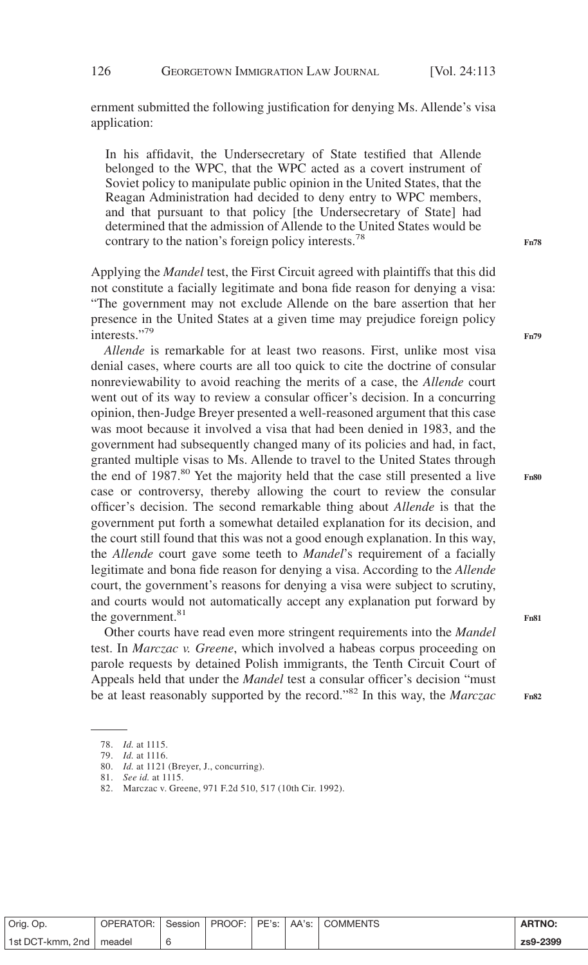ernment submitted the following justification for denying Ms. Allende's visa application:

In his affidavit, the Undersecretary of State testified that Allende belonged to the WPC, that the WPC acted as a covert instrument of Soviet policy to manipulate public opinion in the United States, that the Reagan Administration had decided to deny entry to WPC members, and that pursuant to that policy [the Undersecretary of State] had determined that the admission of Allende to the United States would be contrary to the nation's foreign policy interests.<sup>78</sup>

Applying the *Mandel* test, the First Circuit agreed with plaintiffs that this did not constitute a facially legitimate and bona fide reason for denying a visa: "The government may not exclude Allende on the bare assertion that her presence in the United States at a given time may prejudice foreign policy interests."<sup>79</sup>

*Allende* is remarkable for at least two reasons. First, unlike most visa denial cases, where courts are all too quick to cite the doctrine of consular nonreviewability to avoid reaching the merits of a case, the *Allende* court went out of its way to review a consular officer's decision. In a concurring opinion, then-Judge Breyer presented a well-reasoned argument that this case was moot because it involved a visa that had been denied in 1983, and the government had subsequently changed many of its policies and had, in fact, granted multiple visas to Ms. Allende to travel to the United States through the end of 1987.<sup>80</sup> Yet the majority held that the case still presented a live case or controversy, thereby allowing the court to review the consular officer's decision. The second remarkable thing about *Allende* is that the government put forth a somewhat detailed explanation for its decision, and the court still found that this was not a good enough explanation. In this way, the *Allende* court gave some teeth to *Mandel*'s requirement of a facially legitimate and bona fide reason for denying a visa. According to the *Allende* court, the government's reasons for denying a visa were subject to scrutiny, and courts would not automatically accept any explanation put forward by the government.<sup>81</sup>

Other courts have read even more stringent requirements into the *Mandel* test. In *Marczac v. Greene*, which involved a habeas corpus proceeding on parole requests by detained Polish immigrants, the Tenth Circuit Court of Appeals held that under the *Mandel* test a consular officer's decision "must be at least reasonably supported by the record."<sup>82</sup> In this way, the *Marczac*

| Orig. Op.                 | OPERATOR: Session |  |  | <b>ARTNO:</b> |
|---------------------------|-------------------|--|--|---------------|
| 1st DCT-kmm, 2nd   meadel |                   |  |  | zs9-2399      |

**Fn78**

**Fn79**

**Fn81**

<sup>78.</sup> *Id.* at 1115.

<sup>79.</sup> *Id.* at 1116.

<sup>80.</sup> *Id.* at 1121 (Breyer, J., concurring).

<sup>81.</sup> *See id.* at 1115.

<sup>82.</sup> Marczac v. Greene, 971 F.2d 510, 517 (10th Cir. 1992).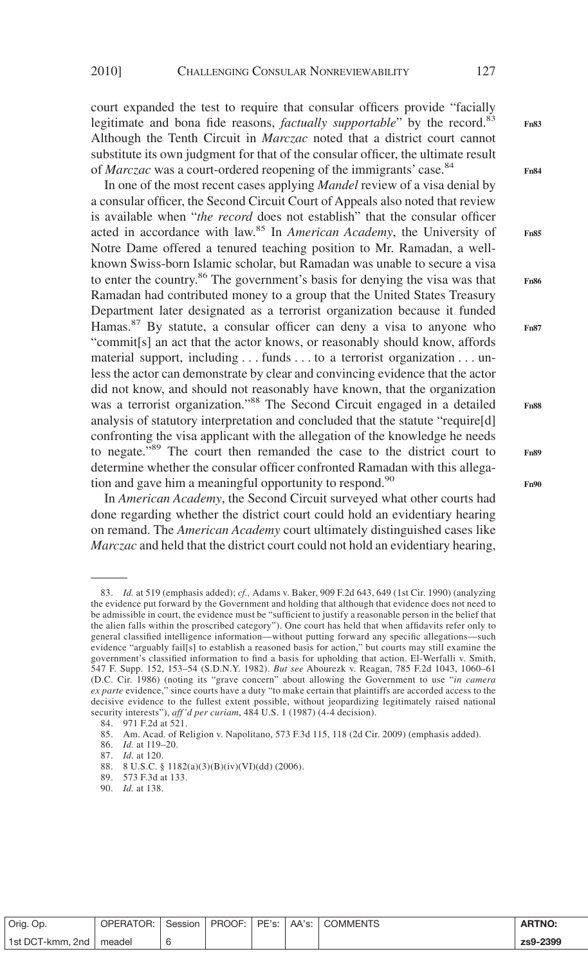court expanded the test to require that consular officers provide "facially legitimate and bona fide reasons, *factually supportable*" by the record.<sup>83</sup> Although the Tenth Circuit in *Marczac* noted that a district court cannot substitute its own judgment for that of the consular officer, the ultimate result of *Marczac* was a court-ordered reopening of the immigrants' case.84

In one of the most recent cases applying *Mandel* review of a visa denial by a consular officer, the Second Circuit Court of Appeals also noted that review is available when "*the record* does not establish" that the consular officer acted in accordance with law.<sup>85</sup> In *American Academy*, the University of Notre Dame offered a tenured teaching position to Mr. Ramadan, a wellknown Swiss-born Islamic scholar, but Ramadan was unable to secure a visa to enter the country.<sup>86</sup> The government's basis for denying the visa was that Ramadan had contributed money to a group that the United States Treasury Department later designated as a terrorist organization because it funded Hamas.<sup>87</sup> By statute, a consular officer can deny a visa to anyone who "commit[s] an act that the actor knows, or reasonably should know, affords material support, including... funds . . . to a terrorist organization . . . unless the actor can demonstrate by clear and convincing evidence that the actor did not know, and should not reasonably have known, that the organization was a terrorist organization."<sup>88</sup> The Second Circuit engaged in a detailed analysis of statutory interpretation and concluded that the statute "require[d] confronting the visa applicant with the allegation of the knowledge he needs to negate."<sup>89</sup> The court then remanded the case to the district court to determine whether the consular officer confronted Ramadan with this allegation and gave him a meaningful opportunity to respond.<sup>90</sup>

In *American Academy*, the Second Circuit surveyed what other courts had done regarding whether the district court could hold an evidentiary hearing on remand. The *American Academy* court ultimately distinguished cases like *Marczac* and held that the district court could not hold an evidentiary hearing,

89. 573 F.3d at 133.

**Fn84**

**Fn85**

**Fn83**

**Fn86**

**Fn87**

**Fn88**

**Fn90**

| Orig. Op.                 |  |  | OPERATOR: Session   PROOF: PE's: AA's: COMMENTS | <b>ARTNO:</b> |
|---------------------------|--|--|-------------------------------------------------|---------------|
| 1st DCT-kmm, 2nd   meadel |  |  |                                                 | zs9-2399      |

<sup>83.</sup> *Id.* at 519 (emphasis added); *cf.,* Adams v. Baker, 909 F.2d 643, 649 (1st Cir. 1990) (analyzing the evidence put forward by the Government and holding that although that evidence does not need to be admissible in court, the evidence must be "sufficient to justify a reasonable person in the belief that the alien falls within the proscribed category"). One court has held that when affidavits refer only to general classified intelligence information—without putting forward any specific allegations—such evidence "arguably fail[s] to establish a reasoned basis for action," but courts may still examine the government's classified information to find a basis for upholding that action. El-Werfalli v. Smith, 547 F. Supp. 152, 153–54 (S.D.N.Y. 1982). *But see* Abourezk v. Reagan, 785 F.2d 1043, 1060–61 (D.C. Cir. 1986) (noting its "grave concern" about allowing the Government to use "*in camera ex parte* evidence," since courts have a duty "to make certain that plaintiffs are accorded access to the decisive evidence to the fullest extent possible, without jeopardizing legitimately raised national security interests"), *aff 'd per curiam*, 484 U.S. 1 (1987) (4-4 decision).

<sup>84. 971</sup> F.2d at 521.

<sup>85.</sup> Am. Acad. of Religion v. Napolitano, 573 F.3d 115, 118 (2d Cir. 2009) (emphasis added).

<sup>86.</sup> *Id.* at 119–20.

<sup>87.</sup> *Id.* at 120.

<sup>88. 8</sup> U.S.C. § 1182(a)(3)(B)(iv)(VI)(dd) (2006).

<sup>90.</sup> *Id.* at 138.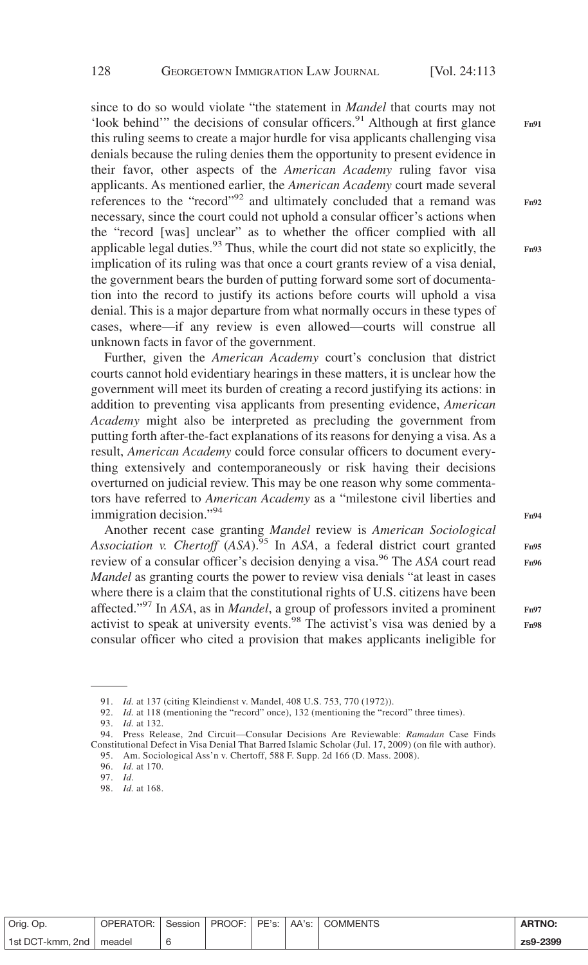**Fn91**

**Fn92**

**Fn93**

since to do so would violate "the statement in *Mandel* that courts may not 'look behind'" the decisions of consular officers.<sup>91</sup> Although at first glance this ruling seems to create a major hurdle for visa applicants challenging visa denials because the ruling denies them the opportunity to present evidence in their favor, other aspects of the *American Academy* ruling favor visa applicants. As mentioned earlier, the *American Academy* court made several references to the "record"<sup>92</sup> and ultimately concluded that a remand was necessary, since the court could not uphold a consular officer's actions when the "record [was] unclear" as to whether the officer complied with all applicable legal duties. $93$  Thus, while the court did not state so explicitly, the implication of its ruling was that once a court grants review of a visa denial, the government bears the burden of putting forward some sort of documentation into the record to justify its actions before courts will uphold a visa denial. This is a major departure from what normally occurs in these types of cases, where—if any review is even allowed—courts will construe all unknown facts in favor of the government.

Further, given the *American Academy* court's conclusion that district courts cannot hold evidentiary hearings in these matters, it is unclear how the government will meet its burden of creating a record justifying its actions: in addition to preventing visa applicants from presenting evidence, *American Academy* might also be interpreted as precluding the government from putting forth after-the-fact explanations of its reasons for denying a visa. As a result, *American Academy* could force consular officers to document everything extensively and contemporaneously or risk having their decisions overturned on judicial review. This may be one reason why some commentators have referred to *American Academy* as a "milestone civil liberties and immigration decision."94

Another recent case granting *Mandel* review is *American Sociological Association v. Chertoff* (*ASA*).95 In *ASA*, a federal district court granted review of a consular officer's decision denying a visa.96 The *ASA* court read *Mandel* as granting courts the power to review visa denials "at least in cases" where there is a claim that the constitutional rights of U.S. citizens have been affected."97 In *ASA*, as in *Mandel*, a group of professors invited a prominent activist to speak at university events.98 The activist's visa was denied by a consular officer who cited a provision that makes applicants ineligible for **Fn94**

**Fn95 Fn96**

**Fn97 Fn98**

| Orig. Op.        | OPERATOR: | Session |  | PE's:   AA's: | <sup>1</sup> COMMENTS | <b>ARTNO:</b> |
|------------------|-----------|---------|--|---------------|-----------------------|---------------|
| 1st DCT-kmm. 2nd | meadel    |         |  |               |                       | zs9-2399      |

<sup>91.</sup> *Id.* at 137 (citing Kleindienst v. Mandel, 408 U.S. 753, 770 (1972)).

<sup>92.</sup> *Id.* at 118 (mentioning the "record" once), 132 (mentioning the "record" three times).

<sup>93.</sup> *Id.* at 132.

<sup>94.</sup> Press Release, 2nd Circuit—Consular Decisions Are Reviewable: *Ramadan* Case Finds Constitutional Defect in Visa Denial That Barred Islamic Scholar (Jul. 17, 2009) (on file with author).

<sup>95.</sup> Am. Sociological Ass'n v. Chertoff, 588 F. Supp. 2d 166 (D. Mass. 2008). 96. *Id.* at 170.

<sup>97.</sup> *Id*.

<sup>98.</sup> *Id.* at 168.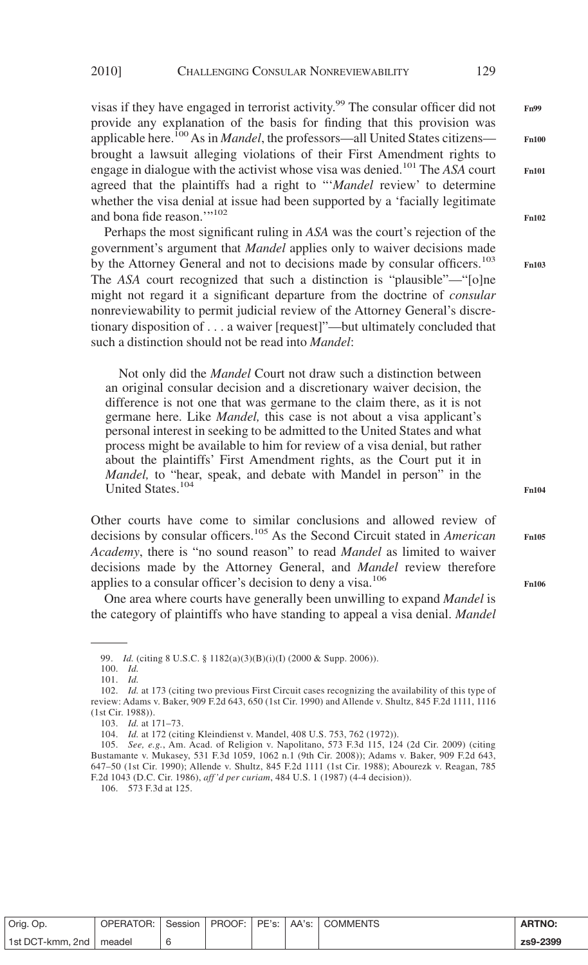visas if they have engaged in terrorist activity.<sup>99</sup> The consular officer did not provide any explanation of the basis for finding that this provision was applicable here.<sup>100</sup> As in *Mandel*, the professors—all United States citizens brought a lawsuit alleging violations of their First Amendment rights to engage in dialogue with the activist whose visa was denied.101 The *ASA* court agreed that the plaintiffs had a right to "'*Mandel* review' to determine whether the visa denial at issue had been supported by a 'facially legitimate and bona fide reason."<sup>102</sup>

Perhaps the most significant ruling in *ASA* was the court's rejection of the government's argument that *Mandel* applies only to waiver decisions made by the Attorney General and not to decisions made by consular officers.<sup>103</sup> The *ASA* court recognized that such a distinction is "plausible"—"[o]ne might not regard it a significant departure from the doctrine of *consular* nonreviewability to permit judicial review of the Attorney General's discretionary disposition of...a waiver [request]"—but ultimately concluded that such a distinction should not be read into *Mandel*:

Not only did the *Mandel* Court not draw such a distinction between an original consular decision and a discretionary waiver decision, the difference is not one that was germane to the claim there, as it is not germane here. Like *Mandel,* this case is not about a visa applicant's personal interest in seeking to be admitted to the United States and what process might be available to him for review of a visa denial, but rather about the plaintiffs' First Amendment rights, as the Court put it in *Mandel,* to "hear, speak, and debate with Mandel in person" in the United States.104

Other courts have come to similar conclusions and allowed review of decisions by consular officers.<sup>105</sup> As the Second Circuit stated in *American Academy*, there is "no sound reason" to read *Mandel* as limited to waiver decisions made by the Attorney General, and *Mandel* review therefore applies to a consular officer's decision to deny a visa.<sup>106</sup>

One area where courts have generally been unwilling to expand *Mandel* is the category of plaintiffs who have standing to appeal a visa denial. *Mandel*

106. 573 F.3d at 125.

Orig. Op. | OPERATOR: | Session | PROOF: | PE's: | AA's: | COMMENTS | **ARTNO:** 1st DCT-kmm, 2nd meadel 6 **zs9-2399**

**Fn100 Fn101**

**Fn99**

**Fn102**

**Fn103**

**Fn104**

**Fn105**

<sup>99.</sup> *Id.* (citing 8 U.S.C. § 1182(a)(3)(B)(i)(I) (2000 & Supp. 2006)).

<sup>100.</sup> *Id.* 101. *Id.*

<sup>102.</sup> *Id.* at 173 (citing two previous First Circuit cases recognizing the availability of this type of review: Adams v. Baker, 909 F.2d 643, 650 (1st Cir. 1990) and Allende v. Shultz, 845 F.2d 1111, 1116 (1st Cir. 1988)).

<sup>103.</sup> *Id.* at 171–73.

<sup>104.</sup> *Id.* at 172 (citing Kleindienst v. Mandel, 408 U.S. 753, 762 (1972)).

<sup>105.</sup> *See, e.g.*, Am. Acad. of Religion v. Napolitano, 573 F.3d 115, 124 (2d Cir. 2009) (citing Bustamante v. Mukasey, 531 F.3d 1059, 1062 n.1 (9th Cir. 2008)); Adams v. Baker, 909 F.2d 643, 647–50 (1st Cir. 1990); Allende v. Shultz, 845 F.2d 1111 (1st Cir. 1988); Abourezk v. Reagan, 785 F.2d 1043 (D.C. Cir. 1986), *aff 'd per curiam*, 484 U.S. 1 (1987) (4-4 decision)).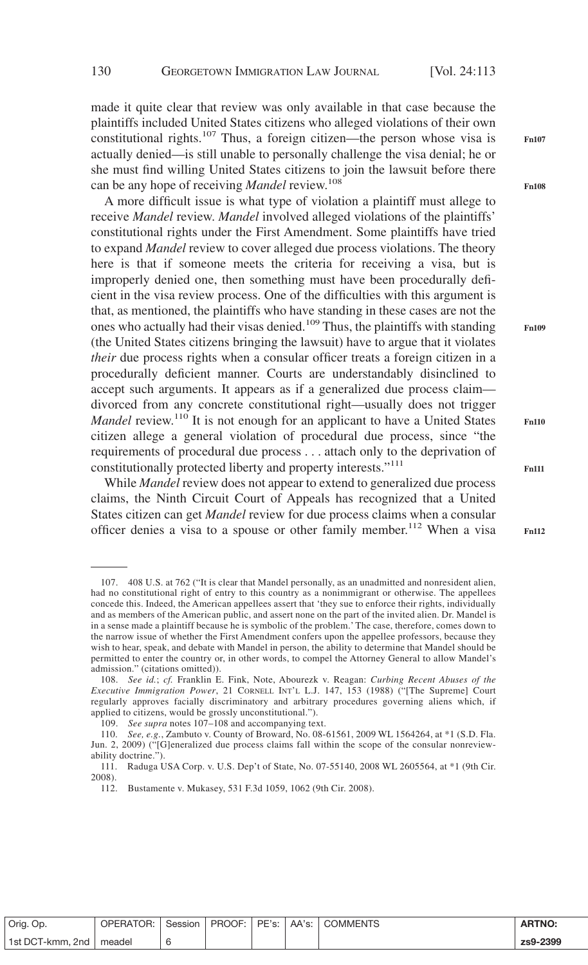made it quite clear that review was only available in that case because the plaintiffs included United States citizens who alleged violations of their own constitutional rights.<sup>107</sup> Thus, a foreign citizen—the person whose visa is actually denied—is still unable to personally challenge the visa denial; he or she must find willing United States citizens to join the lawsuit before there can be any hope of receiving *Mandel* review.<sup>108</sup>

A more difficult issue is what type of violation a plaintiff must allege to receive *Mandel* review. *Mandel* involved alleged violations of the plaintiffs' constitutional rights under the First Amendment. Some plaintiffs have tried to expand *Mandel* review to cover alleged due process violations. The theory here is that if someone meets the criteria for receiving a visa, but is improperly denied one, then something must have been procedurally deficient in the visa review process. One of the difficulties with this argument is that, as mentioned, the plaintiffs who have standing in these cases are not the ones who actually had their visas denied.<sup>109</sup> Thus, the plaintiffs with standing (the United States citizens bringing the lawsuit) have to argue that it violates *their* due process rights when a consular officer treats a foreign citizen in a procedurally deficient manner. Courts are understandably disinclined to accept such arguments. It appears as if a generalized due process claim divorced from any concrete constitutional right—usually does not trigger *Mandel* review.<sup>110</sup> It is not enough for an applicant to have a United States citizen allege a general violation of procedural due process, since "the requirements of procedural due process... attach only to the deprivation of constitutionally protected liberty and property interests."111

While *Mandel* review does not appear to extend to generalized due process claims, the Ninth Circuit Court of Appeals has recognized that a United States citizen can get *Mandel* review for due process claims when a consular officer denies a visa to a spouse or other family member.<sup>112</sup> When a visa

| Orig. Op.        | OPERATOR: | Session |  |  | <b>ARTNO:</b> |
|------------------|-----------|---------|--|--|---------------|
| 1st DCT-kmm, 2nd | meadel    |         |  |  | zs9-2399      |

**Fn108**

**Fn107**

**Fn110**

<sup>107. 408</sup> U.S. at 762 ("It is clear that Mandel personally, as an unadmitted and nonresident alien, had no constitutional right of entry to this country as a nonimmigrant or otherwise. The appellees concede this. Indeed, the American appellees assert that 'they sue to enforce their rights, individually and as members of the American public, and assert none on the part of the invited alien. Dr. Mandel is in a sense made a plaintiff because he is symbolic of the problem.' The case, therefore, comes down to the narrow issue of whether the First Amendment confers upon the appellee professors, because they wish to hear, speak, and debate with Mandel in person, the ability to determine that Mandel should be permitted to enter the country or, in other words, to compel the Attorney General to allow Mandel's admission." (citations omitted)).

<sup>108.</sup> *See id.*; *cf.* Franklin E. Fink, Note, Abourezk v. Reagan: *Curbing Recent Abuses of the Executive Immigration Power*, 21 CORNELL INT'L L.J. 147, 153 (1988) ("[The Supreme] Court regularly approves facially discriminatory and arbitrary procedures governing aliens which, if applied to citizens, would be grossly unconstitutional.").

<sup>109.</sup> *See supra* notes 107–108 and accompanying text.

<sup>110.</sup> *See, e.g.*, Zambuto v. County of Broward, No. 08-61561, 2009 WL 1564264, at \*1 (S.D. Fla. Jun. 2, 2009) ("[G]eneralized due process claims fall within the scope of the consular nonreviewability doctrine.").

<sup>111.</sup> Raduga USA Corp. v. U.S. Dep't of State, No. 07-55140, 2008 WL 2605564, at \*1 (9th Cir. 2008).

<sup>112.</sup> Bustamente v. Mukasey, 531 F.3d 1059, 1062 (9th Cir. 2008).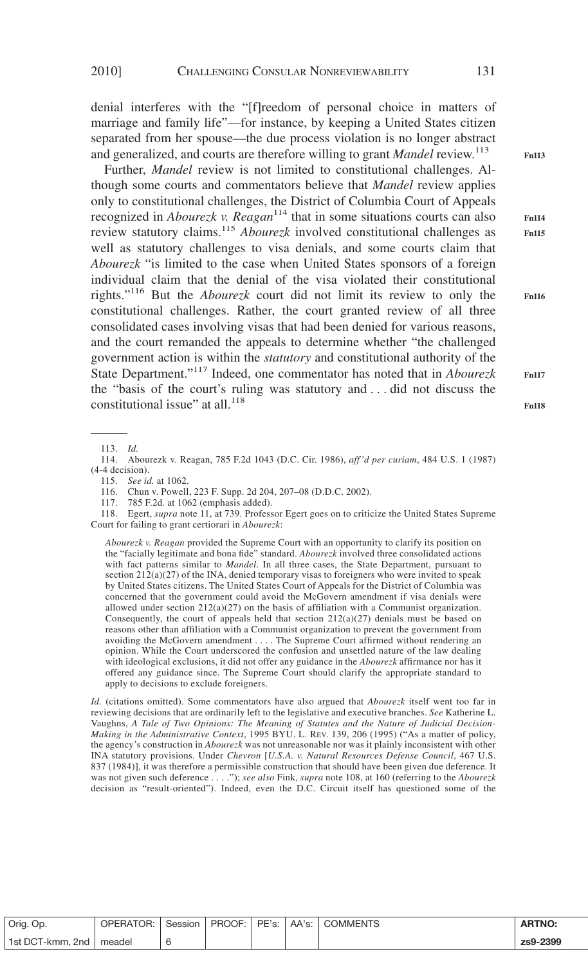denial interferes with the "[f]reedom of personal choice in matters of marriage and family life"—for instance, by keeping a United States citizen separated from her spouse—the due process violation is no longer abstract and generalized, and courts are therefore willing to grant *Mandel* review.<sup>113</sup>

Further, *Mandel* review is not limited to constitutional challenges. Although some courts and commentators believe that *Mandel* review applies only to constitutional challenges, the District of Columbia Court of Appeals recognized in *Abourezk v. Reagan*<sup>114</sup> that in some situations courts can also review statutory claims.115 *Abourezk* involved constitutional challenges as well as statutory challenges to visa denials, and some courts claim that *Abourezk* "is limited to the case when United States sponsors of a foreign individual claim that the denial of the visa violated their constitutional rights."116 But the *Abourezk* court did not limit its review to only the constitutional challenges. Rather, the court granted review of all three consolidated cases involving visas that had been denied for various reasons, and the court remanded the appeals to determine whether "the challenged government action is within the *statutory* and constitutional authority of the State Department."<sup>117</sup> Indeed, one commentator has noted that in *Abourezk* the "basis of the court's ruling was statutory and . . . did not discuss the constitutional issue" at all.<sup>118</sup>

117. 785 F.2d*.* at 1062 (emphasis added).

118. Egert, *supra* note 11, at 739. Professor Egert goes on to criticize the United States Supreme Court for failing to grant certiorari in *Abourezk*:

*Abourezk v. Reagan* provided the Supreme Court with an opportunity to clarify its position on the "facially legitimate and bona fide" standard. *Abourezk* involved three consolidated actions with fact patterns similar to *Mandel*. In all three cases, the State Department, pursuant to section  $212(a)(27)$  of the INA, denied temporary visas to foreigners who were invited to speak by United States citizens. The United States Court of Appeals for the District of Columbia was concerned that the government could avoid the McGovern amendment if visa denials were allowed under section 212(a)(27) on the basis of affiliation with a Communist organization. Consequently, the court of appeals held that section 212(a)(27) denials must be based on reasons other than affiliation with a Communist organization to prevent the government from avoiding the McGovern amendment . . . . The Supreme Court affirmed without rendering an opinion. While the Court underscored the confusion and unsettled nature of the law dealing with ideological exclusions, it did not offer any guidance in the *Abourezk* affirmance nor has it offered any guidance since. The Supreme Court should clarify the appropriate standard to apply to decisions to exclude foreigners.

*Id.* (citations omitted). Some commentators have also argued that *Abourezk* itself went too far in reviewing decisions that are ordinarily left to the legislative and executive branches. *See* Katherine L. Vaughns, *A Tale of Two Opinions: The Meaning of Statutes and the Nature of Judicial Decision-Making in the Administrative Context*, 1995 BYU. L. REV. 139, 206 (1995) ("As a matter of policy, the agency's construction in *Abourezk* was not unreasonable nor was it plainly inconsistent with other INA statutory provisions. Under *Chevron* [*U.S.A. v. Natural Resources Defense Council*, 467 U.S. 837 (1984)], it was therefore a permissible construction that should have been given due deference. It was not given such deference... ."); *see also* Fink, *supra* note 108, at 160 (referring to the *Abourezk* decision as "result-oriented"). Indeed, even the D.C. Circuit itself has questioned some of the

| Orig. Op.                 | OPERATOR: Session |  |  | PROOF: PE's: AA's: COMMENTS | <b>ARTNO:</b> |
|---------------------------|-------------------|--|--|-----------------------------|---------------|
| 1st DCT-kmm, 2nd   meadel |                   |  |  |                             | zs9-2399      |

**Fn113**

**Fn114 Fn115**

**Fn116**

**Fn117**

<sup>113.</sup> *Id.*

<sup>114.</sup> Abourezk v. Reagan, 785 F.2d 1043 (D.C. Cir. 1986), *aff 'd per curiam*, 484 U.S. 1 (1987) (4-4 decision).

<sup>115.</sup> *See id.* at 1062.

<sup>116.</sup> Chun v. Powell, 223 F. Supp. 2d 204, 207–08 (D.D.C. 2002).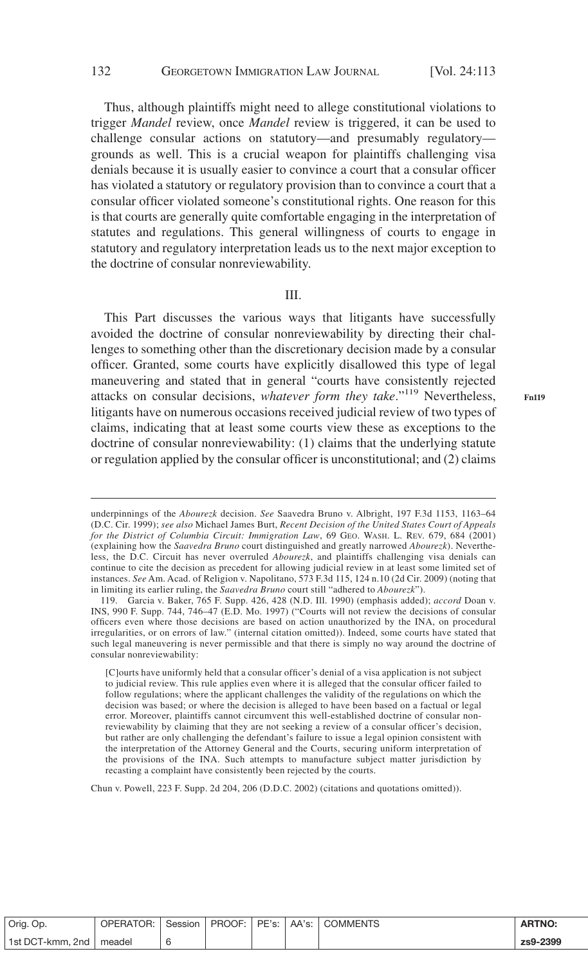#### 132 GEORGETOWN IMMIGRATION LAW JOURNAL [Vol. 24:113

Thus, although plaintiffs might need to allege constitutional violations to trigger *Mandel* review, once *Mandel* review is triggered, it can be used to challenge consular actions on statutory—and presumably regulatory grounds as well. This is a crucial weapon for plaintiffs challenging visa denials because it is usually easier to convince a court that a consular officer has violated a statutory or regulatory provision than to convince a court that a consular officer violated someone's constitutional rights. One reason for this is that courts are generally quite comfortable engaging in the interpretation of statutes and regulations. This general willingness of courts to engage in statutory and regulatory interpretation leads us to the next major exception to the doctrine of consular nonreviewability.

## III.

This Part discusses the various ways that litigants have successfully avoided the doctrine of consular nonreviewability by directing their challenges to something other than the discretionary decision made by a consular officer. Granted, some courts have explicitly disallowed this type of legal maneuvering and stated that in general "courts have consistently rejected attacks on consular decisions, *whatever form they take*."<sup>119</sup> Nevertheless, litigants have on numerous occasions received judicial review of two types of claims, indicating that at least some courts view these as exceptions to the doctrine of consular nonreviewability: (1) claims that the underlying statute or regulation applied by the consular officer is unconstitutional; and (2) claims

Chun v. Powell, 223 F. Supp. 2d 204, 206 (D.D.C. 2002) (citations and quotations omitted)).

| Orig. Op.                       | OPERATOR: | Session | PROOF: I | PE's: | AA's: I | ' COMMENTS | <b>ARTNO:</b> |
|---------------------------------|-----------|---------|----------|-------|---------|------------|---------------|
| <sup>1</sup> 1st DCT-kmm, 2nd 1 | meadel    |         |          |       |         |            | zs9-2399      |

**Fn119**

underpinnings of the *Abourezk* decision. *See* Saavedra Bruno v. Albright, 197 F.3d 1153, 1163–64 (D.C. Cir. 1999); *see also* Michael James Burt, *Recent Decision of the United States Court of Appeals for the District of Columbia Circuit: Immigration Law*, 69 GEO. WASH. L. REV. 679, 684 (2001) (explaining how the *Saavedra Bruno* court distinguished and greatly narrowed *Abourezk*). Nevertheless, the D.C. Circuit has never overruled *Abourezk*, and plaintiffs challenging visa denials can continue to cite the decision as precedent for allowing judicial review in at least some limited set of instances. *See* Am. Acad. of Religion v. Napolitano, 573 F.3d 115, 124 n.10 (2d Cir. 2009) (noting that in limiting its earlier ruling, the *Saavedra Bruno* court still "adhered to *Abourezk*").

<sup>119.</sup> Garcia v. Baker, 765 F. Supp. 426, 428 (N.D. Ill. 1990) (emphasis added); *accord* Doan v. INS, 990 F. Supp. 744, 746–47 (E.D. Mo. 1997) ("Courts will not review the decisions of consular officers even where those decisions are based on action unauthorized by the INA, on procedural irregularities, or on errors of law." (internal citation omitted)). Indeed, some courts have stated that such legal maneuvering is never permissible and that there is simply no way around the doctrine of consular nonreviewability:

<sup>[</sup>C]ourts have uniformly held that a consular officer's denial of a visa application is not subject to judicial review. This rule applies even where it is alleged that the consular officer failed to follow regulations; where the applicant challenges the validity of the regulations on which the decision was based; or where the decision is alleged to have been based on a factual or legal error. Moreover, plaintiffs cannot circumvent this well-established doctrine of consular nonreviewability by claiming that they are not seeking a review of a consular officer's decision, but rather are only challenging the defendant's failure to issue a legal opinion consistent with the interpretation of the Attorney General and the Courts, securing uniform interpretation of the provisions of the INA. Such attempts to manufacture subject matter jurisdiction by recasting a complaint have consistently been rejected by the courts.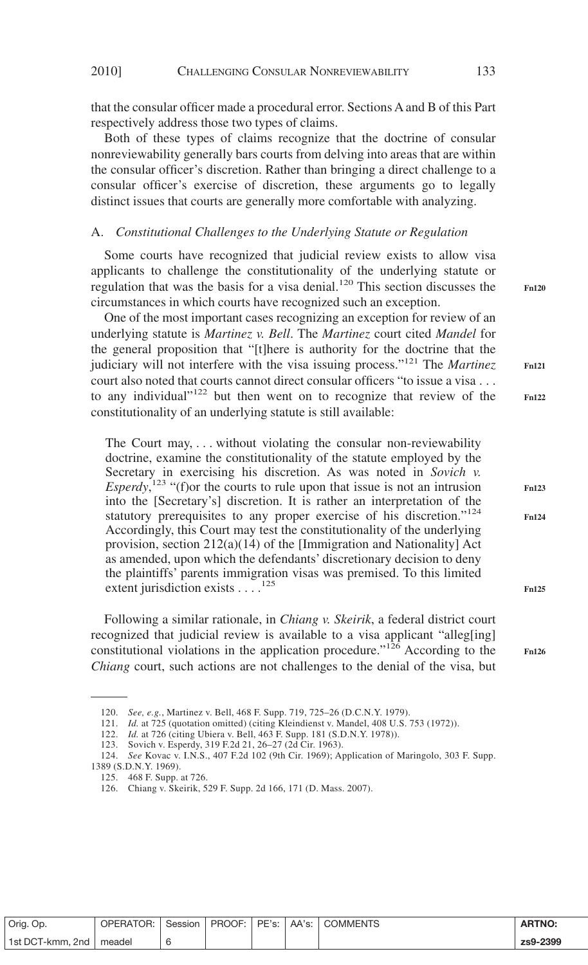that the consular officer made a procedural error. Sections A and B of this Part respectively address those two types of claims.

Both of these types of claims recognize that the doctrine of consular nonreviewability generally bars courts from delving into areas that are within the consular officer's discretion. Rather than bringing a direct challenge to a consular officer's exercise of discretion, these arguments go to legally distinct issues that courts are generally more comfortable with analyzing.

## A. *Constitutional Challenges to the Underlying Statute or Regulation*

Some courts have recognized that judicial review exists to allow visa applicants to challenge the constitutionality of the underlying statute or regulation that was the basis for a visa denial.<sup>120</sup> This section discusses the circumstances in which courts have recognized such an exception.

One of the most important cases recognizing an exception for review of an underlying statute is *Martinez v. Bell*. The *Martinez* court cited *Mandel* for the general proposition that "[t]here is authority for the doctrine that the judiciary will not interfere with the visa issuing process."<sup>121</sup> The *Martinez* court also noted that courts cannot direct consular officers "to issue a visa... to any individual"<sup>122</sup> but then went on to recognize that review of the constitutionality of an underlying statute is still available:

The Court may, ... without violating the consular non-reviewability doctrine, examine the constitutionality of the statute employed by the Secretary in exercising his discretion. As was noted in *Sovich v. Esperdy*,<sup>123</sup> "(f)or the courts to rule upon that issue is not an intrusion into the [Secretary's] discretion. It is rather an interpretation of the statutory prerequisites to any proper exercise of his discretion."<sup>124</sup> Accordingly, this Court may test the constitutionality of the underlying provision, section 212(a)(14) of the [Immigration and Nationality] Act as amended, upon which the defendants' discretionary decision to deny the plaintiffs' parents immigration visas was premised. To this limited extent jurisdiction exists . . . .<sup>125</sup>

Following a similar rationale, in *Chiang v. Skeirik*, a federal district court recognized that judicial review is available to a visa applicant "alleg[ing] constitutional violations in the application procedure."<sup>126</sup> According to the *Chiang* court, such actions are not challenges to the denial of the visa, but

| Orig. Op.                 | OPERATOR: I |  |  | Session   PROOF:   PE's:   AA's:   COMMENTS | <b>ARTNO:</b> |
|---------------------------|-------------|--|--|---------------------------------------------|---------------|
| 1st DCT-kmm, 2nd   meadel |             |  |  |                                             | zs9-2399      |

**Fn120**

**Fn121**

**Fn122**

**Fn123**

**Fn124**

**Fn125**

<sup>120.</sup> *See, e.g.*, Martinez v. Bell, 468 F. Supp. 719, 725–26 (D.C.N.Y. 1979).

<sup>121.</sup> *Id.* at 725 (quotation omitted) (citing Kleindienst v. Mandel, 408 U.S. 753 (1972)).

<sup>122.</sup> *Id.* at 726 (citing Ubiera v. Bell, 463 F. Supp. 181 (S.D.N.Y. 1978)).

<sup>123.</sup> Sovich v. Esperdy, 319 F.2d 21, 26–27 (2d Cir. 1963).

<sup>124.</sup> *See* Kovac v. I.N.S., 407 F.2d 102 (9th Cir. 1969); Application of Maringolo, 303 F. Supp.

<sup>1389 (</sup>S.D.N.Y. 1969).

<sup>125. 468</sup> F. Supp. at 726.

<sup>126.</sup> Chiang v. Skeirik, 529 F. Supp. 2d 166, 171 (D. Mass. 2007).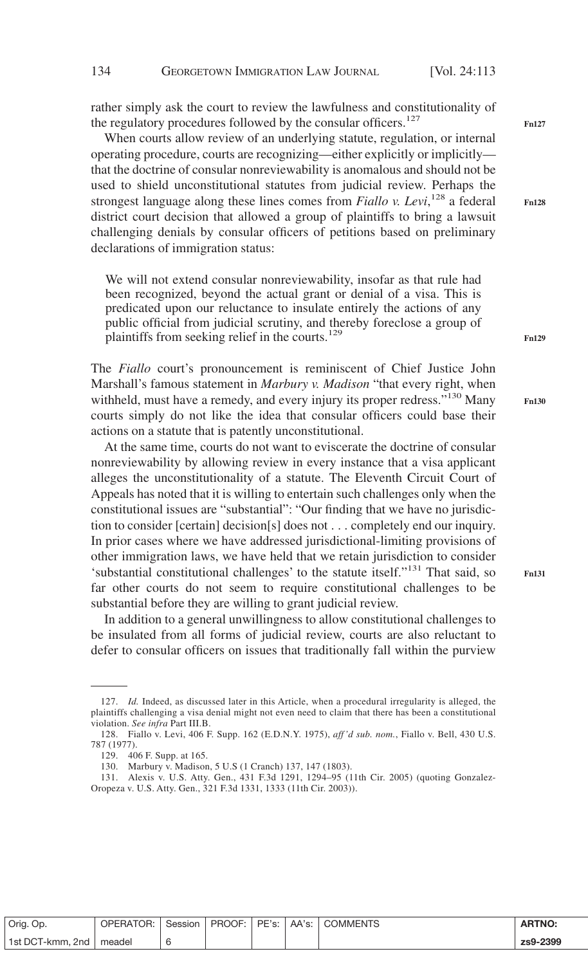rather simply ask the court to review the lawfulness and constitutionality of the regulatory procedures followed by the consular officers.<sup>127</sup>

When courts allow review of an underlying statute, regulation, or internal operating procedure, courts are recognizing—either explicitly or implicitly that the doctrine of consular nonreviewability is anomalous and should not be used to shield unconstitutional statutes from judicial review. Perhaps the strongest language along these lines comes from *Fiallo v. Levi*, <sup>128</sup> a federal district court decision that allowed a group of plaintiffs to bring a lawsuit challenging denials by consular officers of petitions based on preliminary declarations of immigration status:

We will not extend consular nonreviewability, insofar as that rule had been recognized, beyond the actual grant or denial of a visa. This is predicated upon our reluctance to insulate entirely the actions of any public official from judicial scrutiny, and thereby foreclose a group of plaintiffs from seeking relief in the courts.<sup>129</sup>

The *Fiallo* court's pronouncement is reminiscent of Chief Justice John Marshall's famous statement in *Marbury v. Madison* "that every right, when withheld, must have a remedy, and every injury its proper redress."<sup>130</sup> Many courts simply do not like the idea that consular officers could base their actions on a statute that is patently unconstitutional.

At the same time, courts do not want to eviscerate the doctrine of consular nonreviewability by allowing review in every instance that a visa applicant alleges the unconstitutionality of a statute. The Eleventh Circuit Court of Appeals has noted that it is willing to entertain such challenges only when the constitutional issues are "substantial": "Our finding that we have no jurisdiction to consider [certain] decision[s] does not... completely end our inquiry. In prior cases where we have addressed jurisdictional-limiting provisions of other immigration laws, we have held that we retain jurisdiction to consider 'substantial constitutional challenges' to the statute itself."<sup>131</sup> That said, so far other courts do not seem to require constitutional challenges to be substantial before they are willing to grant judicial review.

In addition to a general unwillingness to allow constitutional challenges to be insulated from all forms of judicial review, courts are also reluctant to defer to consular officers on issues that traditionally fall within the purview

| Orig. Op.                 | OPERATOR: I |  |  | Session   PROOF: PE's: AA's: COMMENTS | <b>ARTNO:</b> |
|---------------------------|-------------|--|--|---------------------------------------|---------------|
| 1st DCT-kmm, 2nd   meadel |             |  |  |                                       | zs9-2399      |

**Fn127**

**Fn128**

**Fn129**

<sup>127.</sup> *Id.* Indeed, as discussed later in this Article, when a procedural irregularity is alleged, the plaintiffs challenging a visa denial might not even need to claim that there has been a constitutional violation. *See infra* Part III.B.

<sup>128.</sup> Fiallo v. Levi, 406 F. Supp. 162 (E.D.N.Y. 1975), *aff 'd sub. nom.*, Fiallo v. Bell, 430 U.S. 787 (1977).

<sup>129. 406</sup> F. Supp. at 165.

<sup>130.</sup> Marbury v. Madison, 5 U.S (1 Cranch) 137, 147 (1803).

<sup>131.</sup> Alexis v. U.S. Atty. Gen., 431 F.3d 1291, 1294–95 (11th Cir. 2005) (quoting Gonzalez-Oropeza v. U.S. Atty. Gen., 321 F.3d 1331, 1333 (11th Cir. 2003)).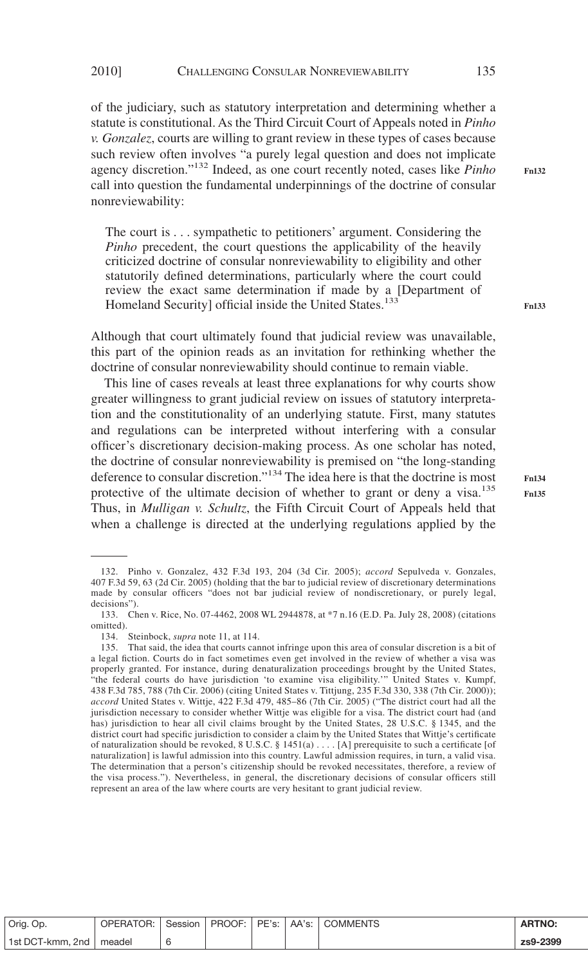of the judiciary, such as statutory interpretation and determining whether a statute is constitutional. As the Third Circuit Court of Appeals noted in *Pinho v. Gonzalez*, courts are willing to grant review in these types of cases because such review often involves "a purely legal question and does not implicate agency discretion."<sup>132</sup> Indeed, as one court recently noted, cases like *Pinho* call into question the fundamental underpinnings of the doctrine of consular nonreviewability:

The court is... sympathetic to petitioners' argument. Considering the *Pinho* precedent, the court questions the applicability of the heavily criticized doctrine of consular nonreviewability to eligibility and other statutorily defined determinations, particularly where the court could review the exact same determination if made by a [Department of Homeland Security] official inside the United States.<sup>133</sup>

Although that court ultimately found that judicial review was unavailable, this part of the opinion reads as an invitation for rethinking whether the doctrine of consular nonreviewability should continue to remain viable.

This line of cases reveals at least three explanations for why courts show greater willingness to grant judicial review on issues of statutory interpretation and the constitutionality of an underlying statute. First, many statutes and regulations can be interpreted without interfering with a consular officer's discretionary decision-making process. As one scholar has noted, the doctrine of consular nonreviewability is premised on "the long-standing deference to consular discretion."<sup>134</sup> The idea here is that the doctrine is most protective of the ultimate decision of whether to grant or deny a visa.<sup>135</sup> Thus, in *Mulligan v. Schultz*, the Fifth Circuit Court of Appeals held that when a challenge is directed at the underlying regulations applied by the

**Fn132**

| Orig. Op.                 | OPERATOR: Session   PROOF: PE's: AA's: COMMENTS |  |  | <b>ARTNO:</b> |
|---------------------------|-------------------------------------------------|--|--|---------------|
| 1st DCT-kmm, 2nd   meadel |                                                 |  |  | zs9-2399      |

<sup>132.</sup> Pinho v. Gonzalez, 432 F.3d 193, 204 (3d Cir. 2005); *accord* Sepulveda v. Gonzales, 407 F.3d 59, 63 (2d Cir. 2005) (holding that the bar to judicial review of discretionary determinations made by consular officers "does not bar judicial review of nondiscretionary, or purely legal, decisions").

<sup>133.</sup> Chen v. Rice, No. 07-4462, 2008 WL 2944878, at \*7 n.16 (E.D. Pa. July 28, 2008) (citations omitted).

<sup>134.</sup> Steinbock, *supra* note 11, at 114.

<sup>135.</sup> That said, the idea that courts cannot infringe upon this area of consular discretion is a bit of a legal fiction. Courts do in fact sometimes even get involved in the review of whether a visa was properly granted. For instance, during denaturalization proceedings brought by the United States, "the federal courts do have jurisdiction 'to examine visa eligibility.'" United States v. Kumpf, 438 F.3d 785, 788 (7th Cir. 2006) (citing United States v. Tittjung, 235 F.3d 330, 338 (7th Cir. 2000)); *accord* United States v. Wittje, 422 F.3d 479, 485–86 (7th Cir. 2005) ("The district court had all the jurisdiction necessary to consider whether Wittje was eligible for a visa. The district court had (and has) jurisdiction to hear all civil claims brought by the United States, 28 U.S.C. § 1345, and the district court had specific jurisdiction to consider a claim by the United States that Wittje's certificate of naturalization should be revoked, 8 U.S.C. § 1451(a)  $\dots$  [A] prerequisite to such a certificate [of naturalization] is lawful admission into this country. Lawful admission requires, in turn, a valid visa. The determination that a person's citizenship should be revoked necessitates, therefore, a review of the visa process."). Nevertheless, in general, the discretionary decisions of consular officers still represent an area of the law where courts are very hesitant to grant judicial review.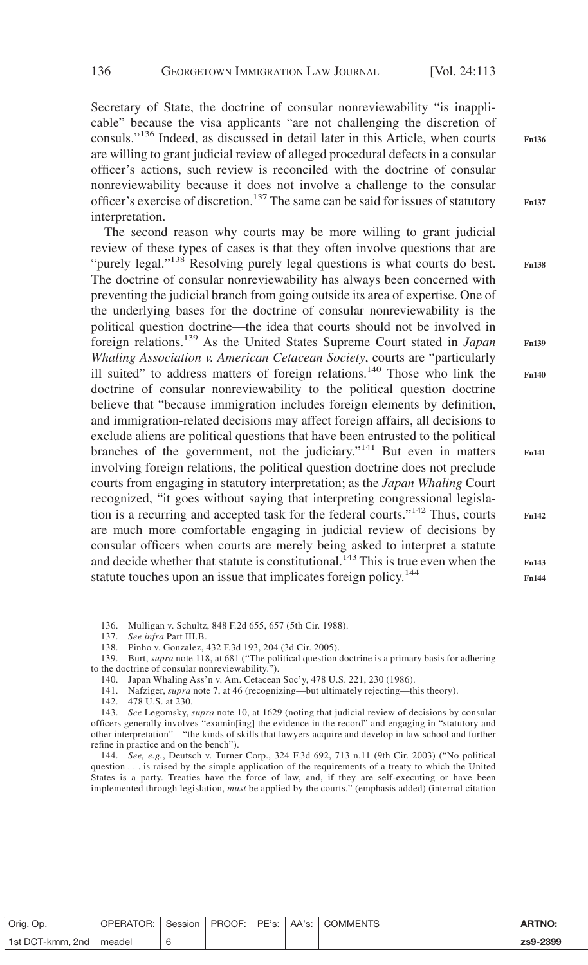**Fn136**

**Fn137**

**Fn138**

**Fn139**

**Fn140**

**Fn141**

**Fn142**

**Fn143 Fn144**

Secretary of State, the doctrine of consular nonreviewability "is inapplicable" because the visa applicants "are not challenging the discretion of consuls."<sup>136</sup> Indeed, as discussed in detail later in this Article, when courts are willing to grant judicial review of alleged procedural defects in a consular officer's actions, such review is reconciled with the doctrine of consular nonreviewability because it does not involve a challenge to the consular officer's exercise of discretion.<sup>137</sup> The same can be said for issues of statutory interpretation.

The second reason why courts may be more willing to grant judicial review of these types of cases is that they often involve questions that are "purely legal."<sup>138</sup> Resolving purely legal questions is what courts do best. The doctrine of consular nonreviewability has always been concerned with preventing the judicial branch from going outside its area of expertise. One of the underlying bases for the doctrine of consular nonreviewability is the political question doctrine—the idea that courts should not be involved in foreign relations.<sup>139</sup> As the United States Supreme Court stated in *Japan Whaling Association v. American Cetacean Society*, courts are "particularly ill suited" to address matters of foreign relations.<sup>140</sup> Those who link the doctrine of consular nonreviewability to the political question doctrine believe that "because immigration includes foreign elements by definition, and immigration-related decisions may affect foreign affairs, all decisions to exclude aliens are political questions that have been entrusted to the political branches of the government, not the judiciary."<sup>141</sup> But even in matters involving foreign relations, the political question doctrine does not preclude courts from engaging in statutory interpretation; as the *Japan Whaling* Court recognized, "it goes without saying that interpreting congressional legislation is a recurring and accepted task for the federal courts."142 Thus, courts are much more comfortable engaging in judicial review of decisions by consular officers when courts are merely being asked to interpret a statute and decide whether that statute is constitutional.<sup>143</sup> This is true even when the statute touches upon an issue that implicates foreign policy.<sup>144</sup>

| Orig. Op.        | OPERATOR: | Session |  |  | <b>ARTNO:</b> |
|------------------|-----------|---------|--|--|---------------|
| 1st DCT-kmm, 2nd | meadel    |         |  |  | zs9-2399      |

<sup>136.</sup> Mulligan v. Schultz, 848 F.2d 655, 657 (5th Cir. 1988).

<sup>137.</sup> *See infra* Part III.B.

<sup>138.</sup> Pinho v. Gonzalez, 432 F.3d 193, 204 (3d Cir. 2005).

<sup>139.</sup> Burt, *supra* note 118, at 681 ("The political question doctrine is a primary basis for adhering to the doctrine of consular nonreviewability.").

<sup>140.</sup> Japan Whaling Ass'n v. Am. Cetacean Soc'y, 478 U.S. 221, 230 (1986).

<sup>141.</sup> Nafziger, *supra* note 7, at 46 (recognizing—but ultimately rejecting—this theory).

<sup>142. 478</sup> U.S. at 230.

<sup>143.</sup> *See* Legomsky, *supra* note 10, at 1629 (noting that judicial review of decisions by consular officers generally involves "examin[ing] the evidence in the record" and engaging in "statutory and other interpretation"—"the kinds of skills that lawyers acquire and develop in law school and further refine in practice and on the bench").

<sup>144.</sup> *See, e.g.*, Deutsch v. Turner Corp., 324 F.3d 692, 713 n.11 (9th Cir. 2003) ("No political question . . . is raised by the simple application of the requirements of a treaty to which the United States is a party. Treaties have the force of law, and, if they are self-executing or have been implemented through legislation, *must* be applied by the courts." (emphasis added) (internal citation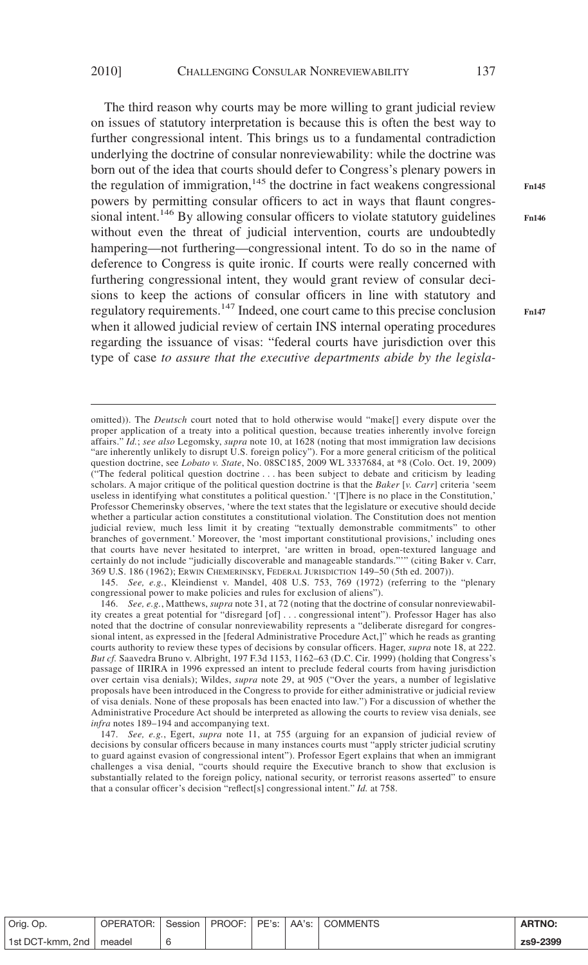The third reason why courts may be more willing to grant judicial review on issues of statutory interpretation is because this is often the best way to further congressional intent. This brings us to a fundamental contradiction underlying the doctrine of consular nonreviewability: while the doctrine was born out of the idea that courts should defer to Congress's plenary powers in the regulation of immigration, $145$  the doctrine in fact weakens congressional powers by permitting consular officers to act in ways that flaunt congressional intent.<sup>146</sup> By allowing consular officers to violate statutory guidelines without even the threat of judicial intervention, courts are undoubtedly hampering—not furthering—congressional intent. To do so in the name of deference to Congress is quite ironic. If courts were really concerned with furthering congressional intent, they would grant review of consular decisions to keep the actions of consular officers in line with statutory and regulatory requirements.<sup>147</sup> Indeed, one court came to this precise conclusion when it allowed judicial review of certain INS internal operating procedures regarding the issuance of visas: "federal courts have jurisdiction over this type of case *to assure that the executive departments abide by the legisla-*

omitted)). The *Deutsch* court noted that to hold otherwise would "make[] every dispute over the proper application of a treaty into a political question, because treaties inherently involve foreign affairs." *Id.*; *see also* Legomsky, *supra* note 10, at 1628 (noting that most immigration law decisions "are inherently unlikely to disrupt U.S. foreign policy"). For a more general criticism of the political question doctrine, see *Lobato v. State*, No. 08SC185, 2009 WL 3337684, at \*8 (Colo. Oct. 19, 2009) ("The federal political question doctrine . . . has been subject to debate and criticism by leading scholars. A major critique of the political question doctrine is that the *Baker* [*v. Carr*] criteria 'seem useless in identifying what constitutes a political question.' '[T]here is no place in the Constitution,' Professor Chemerinsky observes, 'where the text states that the legislature or executive should decide whether a particular action constitutes a constitutional violation. The Constitution does not mention judicial review, much less limit it by creating "textually demonstrable commitments" to other branches of government.' Moreover, the 'most important constitutional provisions,' including ones that courts have never hesitated to interpret, 'are written in broad, open-textured language and certainly do not include "judicially discoverable and manageable standards."'" (citing Baker v. Carr, 369 U.S. 186 (1962); ERWIN CHEMERINSKY, FEDERAL JURISDICTION 149–50 (5th ed. 2007)).

145. *See, e.g.*, Kleindienst v. Mandel, 408 U.S. 753, 769 (1972) (referring to the "plenary congressional power to make policies and rules for exclusion of aliens").

| Orig. Op.                 | <b>OPERATOR:</b> | Session L |  |  | <b>ARTNO:</b> |
|---------------------------|------------------|-----------|--|--|---------------|
| 1st DCT-kmm, 2nd   meadel |                  |           |  |  | zs9-2399      |

**Fn145**

**Fn146**

<sup>146.</sup> *See, e.g.*, Matthews, *supra* note 31, at 72 (noting that the doctrine of consular nonreviewability creates a great potential for "disregard [of]... congressional intent"). Professor Hager has also noted that the doctrine of consular nonreviewability represents a "deliberate disregard for congressional intent, as expressed in the [federal Administrative Procedure Act,]" which he reads as granting courts authority to review these types of decisions by consular officers. Hager, *supra* note 18, at 222. *But cf.* Saavedra Bruno v. Albright, 197 F.3d 1153, 1162–63 (D.C. Cir. 1999) (holding that Congress's passage of IIRIRA in 1996 expressed an intent to preclude federal courts from having jurisdiction over certain visa denials); Wildes, *supra* note 29, at 905 ("Over the years, a number of legislative proposals have been introduced in the Congress to provide for either administrative or judicial review of visa denials. None of these proposals has been enacted into law.") For a discussion of whether the Administrative Procedure Act should be interpreted as allowing the courts to review visa denials, see *infra* notes 189–194 and accompanying text.

<sup>147.</sup> *See, e.g.*, Egert, *supra* note 11, at 755 (arguing for an expansion of judicial review of decisions by consular officers because in many instances courts must "apply stricter judicial scrutiny to guard against evasion of congressional intent"). Professor Egert explains that when an immigrant challenges a visa denial, "courts should require the Executive branch to show that exclusion is substantially related to the foreign policy, national security, or terrorist reasons asserted" to ensure that a consular officer's decision "reflect[s] congressional intent." *Id.* at 758.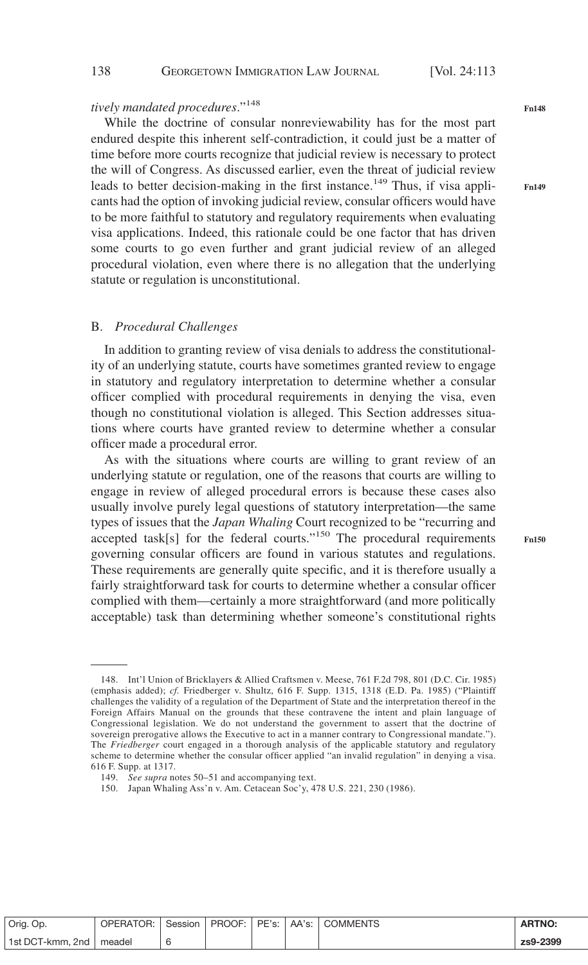## *tively mandated procedures*."<sup>148</sup>

While the doctrine of consular nonreviewability has for the most part endured despite this inherent self-contradiction, it could just be a matter of time before more courts recognize that judicial review is necessary to protect the will of Congress. As discussed earlier, even the threat of judicial review leads to better decision-making in the first instance.<sup>149</sup> Thus, if visa applicants had the option of invoking judicial review, consular officers would have to be more faithful to statutory and regulatory requirements when evaluating visa applications. Indeed, this rationale could be one factor that has driven some courts to go even further and grant judicial review of an alleged procedural violation, even where there is no allegation that the underlying statute or regulation is unconstitutional.

### B. *Procedural Challenges*

In addition to granting review of visa denials to address the constitutionality of an underlying statute, courts have sometimes granted review to engage in statutory and regulatory interpretation to determine whether a consular officer complied with procedural requirements in denying the visa, even though no constitutional violation is alleged. This Section addresses situations where courts have granted review to determine whether a consular officer made a procedural error.

As with the situations where courts are willing to grant review of an underlying statute or regulation, one of the reasons that courts are willing to engage in review of alleged procedural errors is because these cases also usually involve purely legal questions of statutory interpretation—the same types of issues that the *Japan Whaling* Court recognized to be "recurring and accepted task[s] for the federal courts."<sup>150</sup> The procedural requirements governing consular officers are found in various statutes and regulations. These requirements are generally quite specific, and it is therefore usually a fairly straightforward task for courts to determine whether a consular officer complied with them—certainly a more straightforward (and more politically acceptable) task than determining whether someone's constitutional rights

| Orig. Op.        | OPERATOR: | Session |  | PROOF: I PE's:   AA's:   COMMENTS | <b>ARTNO:</b> |
|------------------|-----------|---------|--|-----------------------------------|---------------|
| 1st DCT-kmm, 2nd | meadel    |         |  |                                   | zs9-2399      |

138 **GEORGETOWN IMMIGRATION LAW JOURNAL** [Vol. 24:113

**Fn149**

<sup>148.</sup> Int'l Union of Bricklayers & Allied Craftsmen v. Meese, 761 F.2d 798, 801 (D.C. Cir. 1985) (emphasis added); *cf.* Friedberger v. Shultz, 616 F. Supp. 1315, 1318 (E.D. Pa. 1985) ("Plaintiff challenges the validity of a regulation of the Department of State and the interpretation thereof in the Foreign Affairs Manual on the grounds that these contravene the intent and plain language of Congressional legislation. We do not understand the government to assert that the doctrine of sovereign prerogative allows the Executive to act in a manner contrary to Congressional mandate."). The *Friedberger* court engaged in a thorough analysis of the applicable statutory and regulatory scheme to determine whether the consular officer applied "an invalid regulation" in denying a visa. 616 F. Supp. at 1317.

<sup>149.</sup> *See supra* notes 50–51 and accompanying text.

<sup>150.</sup> Japan Whaling Ass'n v. Am. Cetacean Soc'y, 478 U.S. 221, 230 (1986).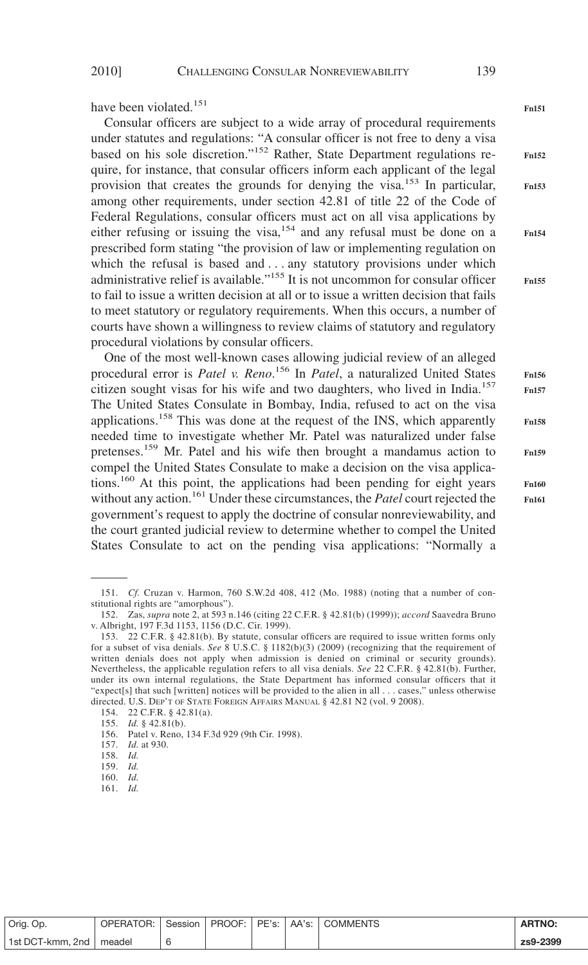have been violated.<sup>151</sup>

Consular officers are subject to a wide array of procedural requirements under statutes and regulations: "A consular officer is not free to deny a visa based on his sole discretion."<sup>152</sup> Rather, State Department regulations require, for instance, that consular officers inform each applicant of the legal provision that creates the grounds for denying the visa.<sup>153</sup> In particular, among other requirements, under section 42.81 of title 22 of the Code of Federal Regulations, consular officers must act on all visa applications by either refusing or issuing the visa,<sup>154</sup> and any refusal must be done on a prescribed form stating "the provision of law or implementing regulation on which the refusal is based and . . . any statutory provisions under which administrative relief is available."<sup>155</sup> It is not uncommon for consular officer to fail to issue a written decision at all or to issue a written decision that fails to meet statutory or regulatory requirements. When this occurs, a number of courts have shown a willingness to review claims of statutory and regulatory procedural violations by consular officers.

One of the most well-known cases allowing judicial review of an alleged procedural error is *Patel v. Reno*. <sup>156</sup> In *Patel*, a naturalized United States citizen sought visas for his wife and two daughters, who lived in India.<sup>157</sup> The United States Consulate in Bombay, India, refused to act on the visa applications.<sup>158</sup> This was done at the request of the INS, which apparently needed time to investigate whether Mr. Patel was naturalized under false pretenses.<sup>159</sup> Mr. Patel and his wife then brought a mandamus action to compel the United States Consulate to make a decision on the visa applications.<sup>160</sup> At this point, the applications had been pending for eight years without any action.<sup>161</sup> Under these circumstances, the *Patel* court rejected the government's request to apply the doctrine of consular nonreviewability, and the court granted judicial review to determine whether to compel the United States Consulate to act on the pending visa applications: "Normally a

**Fn157**

**Fn151**

**Fn152**

**Fn153**

**Fn154**

**Fn158 Fn159 Fn160**

**Fn161**

151. *Cf.* Cruzan v. Harmon, 760 S.W.2d 408, 412 (Mo. 1988) (noting that a number of con-

| Orig. Op.                 | OPERATOR: I |  |  | Session   PROOF:   PE's:   AA's:   COMMENTS | <b>ARTNO:</b> |
|---------------------------|-------------|--|--|---------------------------------------------|---------------|
| 1st DCT-kmm, 2nd   meadel |             |  |  |                                             | zs9-2399      |

**Fn155 Fn156**

stitutional rights are "amorphous"). 152. Zas, *supra* note 2, at 593 n.146 (citing 22 C.F.R. § 42.81(b) (1999)); *accord* Saavedra Bruno v. Albright, 197 F.3d 1153, 1156 (D.C. Cir. 1999).

<sup>153. 22</sup> C.F.R. § 42.81(b). By statute, consular officers are required to issue written forms only for a subset of visa denials. *See* 8 U.S.C. § 1182(b)(3) (2009) (recognizing that the requirement of written denials does not apply when admission is denied on criminal or security grounds). Nevertheless, the applicable regulation refers to all visa denials. *See* 22 C.F.R. § 42.81(b). Further, under its own internal regulations, the State Department has informed consular officers that it "expect[s] that such [written] notices will be provided to the alien in all... cases," unless otherwise directed. U.S. DEP'T OF STATE FOREIGN AFFAIRS MANUAL § 42.81 N2 (vol. 9 2008).

<sup>154. 22</sup> C.F.R. § 42.81(a).

<sup>155.</sup> *Id.* § 42.81(b).

<sup>156.</sup> Patel v. Reno, 134 F.3d 929 (9th Cir. 1998).

<sup>157.</sup> *Id.* at 930.

<sup>158.</sup> *Id.* 159. *Id.*

<sup>160.</sup> *Id.*

<sup>161.</sup> *Id.*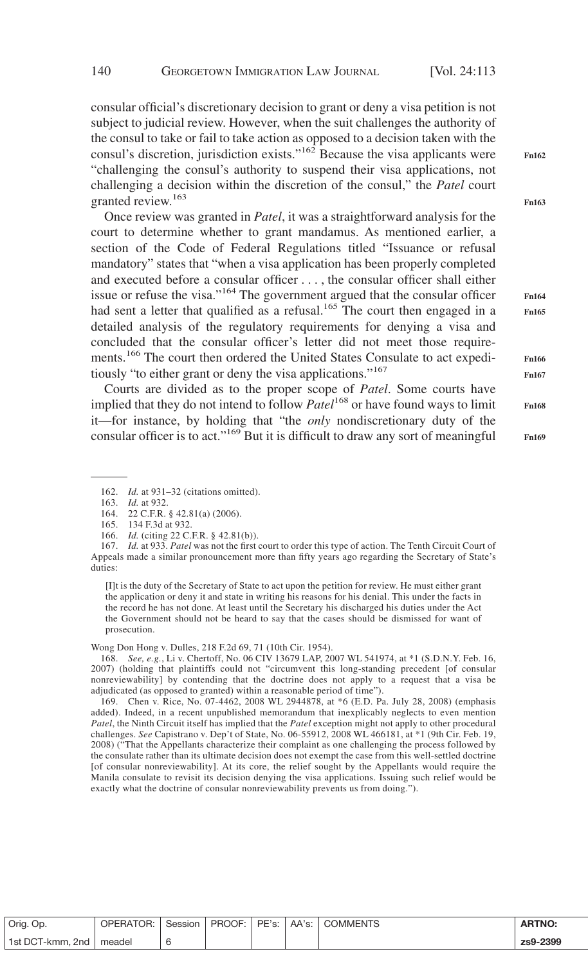consular official's discretionary decision to grant or deny a visa petition is not subject to judicial review. However, when the suit challenges the authority of the consul to take or fail to take action as opposed to a decision taken with the consul's discretion, jurisdiction exists."<sup>162</sup> Because the visa applicants were "challenging the consul's authority to suspend their visa applications, not challenging a decision within the discretion of the consul," the *Patel* court granted review.<sup>163</sup>

Once review was granted in *Patel*, it was a straightforward analysis for the court to determine whether to grant mandamus. As mentioned earlier, a section of the Code of Federal Regulations titled "Issuance or refusal mandatory" states that "when a visa application has been properly completed and executed before a consular officer . . . , the consular officer shall either issue or refuse the visa."<sup>164</sup> The government argued that the consular officer had sent a letter that qualified as a refusal.<sup>165</sup> The court then engaged in a detailed analysis of the regulatory requirements for denying a visa and concluded that the consular officer's letter did not meet those requirements.166 The court then ordered the United States Consulate to act expeditiously "to either grant or deny the visa applications."167

Courts are divided as to the proper scope of *Patel*. Some courts have implied that they do not intend to follow *Patel*<sup>168</sup> or have found ways to limit it—for instance, by holding that "the *only* nondiscretionary duty of the consular officer is to act."<sup>169</sup> But it is difficult to draw any sort of meaningful **Fn164**

**Fn162**

**Fn163**

**Fn165**

**Fn166 Fn167**

**Fn168 Fn169**

163. *Id.* at 932.

165. 134 F.3d at 932.

[I]t is the duty of the Secretary of State to act upon the petition for review. He must either grant the application or deny it and state in writing his reasons for his denial. This under the facts in the record he has not done. At least until the Secretary his discharged his duties under the Act the Government should not be heard to say that the cases should be dismissed for want of prosecution.

Wong Don Hong v. Dulles, 218 F.2d 69, 71 (10th Cir. 1954).

168. *See, e.g.*, Li v. Chertoff, No. 06 CIV 13679 LAP, 2007 WL 541974, at \*1 (S.D.N.Y. Feb. 16, 2007) (holding that plaintiffs could not "circumvent this long-standing precedent [of consular nonreviewability] by contending that the doctrine does not apply to a request that a visa be adjudicated (as opposed to granted) within a reasonable period of time").

169. Chen v. Rice, No. 07-4462, 2008 WL 2944878, at \*6 (E.D. Pa. July 28, 2008) (emphasis added). Indeed, in a recent unpublished memorandum that inexplicably neglects to even mention *Patel*, the Ninth Circuit itself has implied that the *Patel* exception might not apply to other procedural challenges. *See* Capistrano v. Dep't of State, No. 06-55912, 2008 WL 466181, at \*1 (9th Cir. Feb. 19, 2008) ("That the Appellants characterize their complaint as one challenging the process followed by the consulate rather than its ultimate decision does not exempt the case from this well-settled doctrine [of consular nonreviewability]. At its core, the relief sought by the Appellants would require the Manila consulate to revisit its decision denying the visa applications. Issuing such relief would be exactly what the doctrine of consular nonreviewability prevents us from doing.").

| Orig. Op.        | <b>OPERATOR:</b> |  |  | Session   PROOF:   PE's:   AA's:   COMMENTS | <b>ARTNO.</b> |
|------------------|------------------|--|--|---------------------------------------------|---------------|
| 1st DCT-kmm, 2nd | meadel           |  |  |                                             | zs9-2399      |

<sup>162.</sup> *Id.* at 931–32 (citations omitted).

<sup>164. 22</sup> C.F.R. § 42.81(a) (2006).

<sup>166.</sup> *Id.* (citing 22 C.F.R. § 42.81(b)).

<sup>167.</sup> *Id.* at 933. *Patel* was not the first court to order this type of action. The Tenth Circuit Court of Appeals made a similar pronouncement more than fifty years ago regarding the Secretary of State's duties: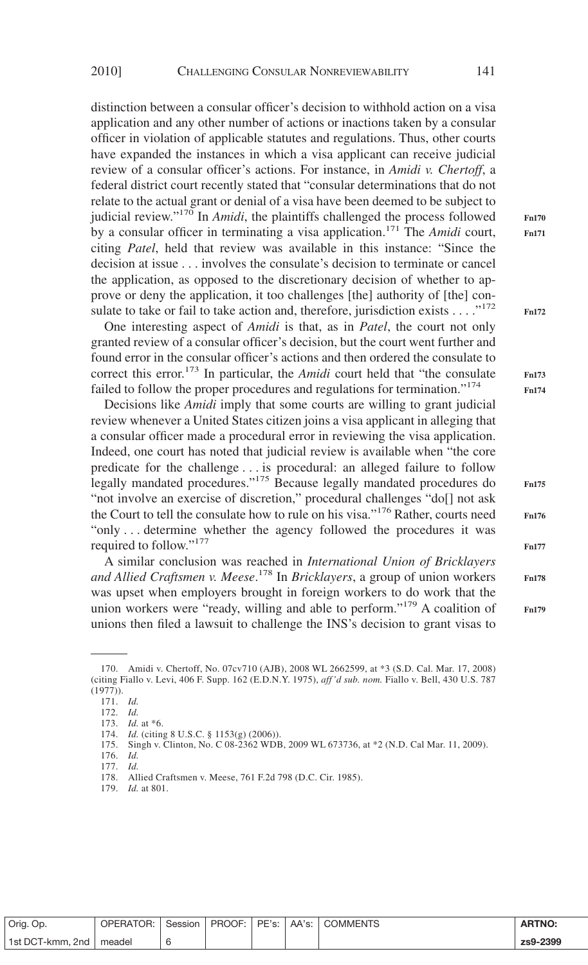distinction between a consular officer's decision to withhold action on a visa application and any other number of actions or inactions taken by a consular officer in violation of applicable statutes and regulations. Thus, other courts have expanded the instances in which a visa applicant can receive judicial review of a consular officer's actions. For instance, in *Amidi v. Chertoff*, a federal district court recently stated that "consular determinations that do not relate to the actual grant or denial of a visa have been deemed to be subject to judicial review."<sup>170</sup> In *Amidi*, the plaintiffs challenged the process followed by a consular officer in terminating a visa application.171 The *Amidi* court, citing *Patel*, held that review was available in this instance: "Since the decision at issue... involves the consulate's decision to terminate or cancel the application, as opposed to the discretionary decision of whether to approve or deny the application, it too challenges [the] authority of [the] consulate to take or fail to take action and, therefore, jurisdiction exists  $\dots$ ."<sup>172</sup>

One interesting aspect of *Amidi* is that, as in *Patel*, the court not only granted review of a consular officer's decision, but the court went further and found error in the consular officer's actions and then ordered the consulate to correct this error.<sup>173</sup> In particular, the *Amidi* court held that "the consulate failed to follow the proper procedures and regulations for termination."<sup>174</sup>

Decisions like *Amidi* imply that some courts are willing to grant judicial review whenever a United States citizen joins a visa applicant in alleging that a consular officer made a procedural error in reviewing the visa application. Indeed, one court has noted that judicial review is available when "the core predicate for the challenge . . . is procedural: an alleged failure to follow legally mandated procedures."<sup>175</sup> Because legally mandated procedures do "not involve an exercise of discretion," procedural challenges "do[] not ask the Court to tell the consulate how to rule on his visa."<sup>176</sup> Rather, courts need "only... determine whether the agency followed the procedures it was required to follow."<sup>177</sup>

A similar conclusion was reached in *International Union of Bricklayers and Allied Craftsmen v. Meese*. <sup>178</sup> In *Bricklayers*, a group of union workers was upset when employers brought in foreign workers to do work that the union workers were "ready, willing and able to perform."179 A coalition of unions then filed a lawsuit to challenge the INS's decision to grant visas to

**Fn170 Fn171**

**Fn172**

**Fn176 Fn177**

**Fn175**

| Orig. Op.                 | <b>OPERATOR: I</b> |  |  | Session   PROOF:   PE's:   AA's:   COMMENTS | <b>ARTNO:</b> |
|---------------------------|--------------------|--|--|---------------------------------------------|---------------|
| 1st DCT-kmm, 2nd   meadel |                    |  |  |                                             | zs9-2399      |

<sup>170.</sup> Amidi v. Chertoff, No. 07cv710 (AJB), 2008 WL 2662599, at \*3 (S.D. Cal. Mar. 17, 2008) (citing Fiallo v. Levi, 406 F. Supp. 162 (E.D.N.Y. 1975), *aff 'd sub. nom.* Fiallo v. Bell, 430 U.S. 787 (1977)).

<sup>171.</sup> *Id.*

<sup>172.</sup> *Id.*

<sup>173.</sup> *Id.* at \*6.

<sup>174.</sup> *Id.* (citing 8 U.S.C. § 1153(g) (2006)).

<sup>175.</sup> Singh v. Clinton, No. C 08-2362 WDB, 2009 WL 673736, at \*2 (N.D. Cal Mar. 11, 2009).

<sup>176.</sup> *Id.*

<sup>177.</sup> *Id.*

<sup>178.</sup> Allied Craftsmen v. Meese, 761 F.2d 798 (D.C. Cir. 1985).

<sup>179.</sup> *Id.* at 801.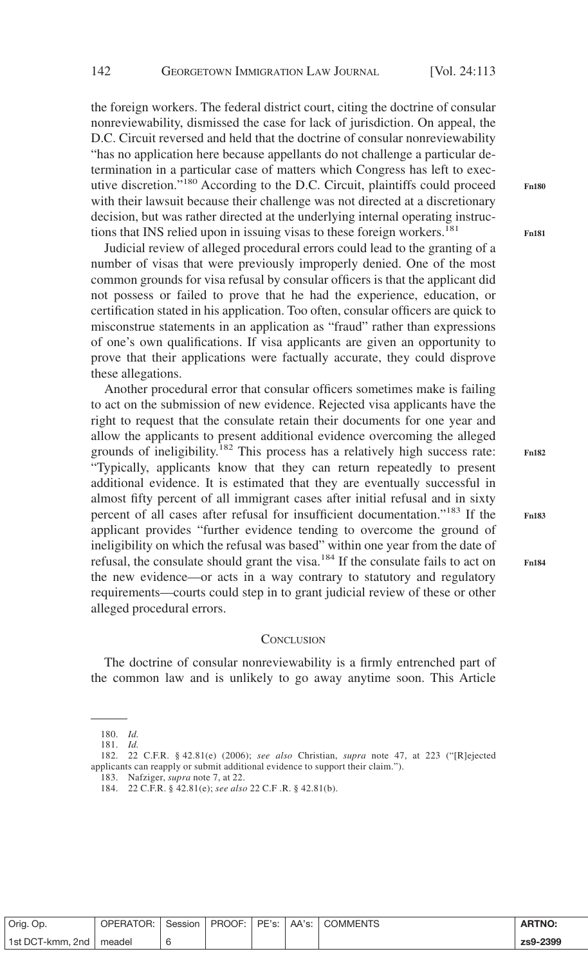the foreign workers. The federal district court, citing the doctrine of consular nonreviewability, dismissed the case for lack of jurisdiction. On appeal, the D.C. Circuit reversed and held that the doctrine of consular nonreviewability "has no application here because appellants do not challenge a particular determination in a particular case of matters which Congress has left to executive discretion."<sup>180</sup> According to the D.C. Circuit, plaintiffs could proceed with their lawsuit because their challenge was not directed at a discretionary decision, but was rather directed at the underlying internal operating instructions that INS relied upon in issuing visas to these foreign workers.<sup>181</sup>

Judicial review of alleged procedural errors could lead to the granting of a number of visas that were previously improperly denied. One of the most common grounds for visa refusal by consular officers is that the applicant did not possess or failed to prove that he had the experience, education, or certification stated in his application. Too often, consular officers are quick to misconstrue statements in an application as "fraud" rather than expressions of one's own qualifications. If visa applicants are given an opportunity to prove that their applications were factually accurate, they could disprove these allegations.

Another procedural error that consular officers sometimes make is failing to act on the submission of new evidence. Rejected visa applicants have the right to request that the consulate retain their documents for one year and allow the applicants to present additional evidence overcoming the alleged grounds of ineligibility.<sup>182</sup> This process has a relatively high success rate: "Typically, applicants know that they can return repeatedly to present additional evidence. It is estimated that they are eventually successful in almost fifty percent of all immigrant cases after initial refusal and in sixty percent of all cases after refusal for insufficient documentation."<sup>183</sup> If the applicant provides "further evidence tending to overcome the ground of ineligibility on which the refusal was based" within one year from the date of refusal, the consulate should grant the visa.<sup>184</sup> If the consulate fails to act on the new evidence—or acts in a way contrary to statutory and regulatory requirements—courts could step in to grant judicial review of these or other alleged procedural errors.

#### **CONCLUSION**

The doctrine of consular nonreviewability is a firmly entrenched part of the common law and is unlikely to go away anytime soon. This Article

| Orig. Op.        | OPERATOR: Session |  |  | PROOF:   PE's:   AA's:   COMMENTS | <b>ARTNO:</b> |
|------------------|-------------------|--|--|-----------------------------------|---------------|
| 1st DCT-kmm, 2nd | meadel            |  |  |                                   | zs9-2399      |

**Fn180**

**Fn181**

**Fn182**

<sup>180.</sup> *Id.*

<sup>181.</sup> *Id.*

<sup>182. 22</sup> C.F.R. § 42.81(e) (2006); *see also* Christian, *supra* note 47, at 223 ("[R]ejected applicants can reapply or submit additional evidence to support their claim.").

<sup>183.</sup> Nafziger, *supra* note 7, at 22.

<sup>184. 22</sup> C.F.R. § 42.81(e); *see also* 22 C.F .R. § 42.81(b).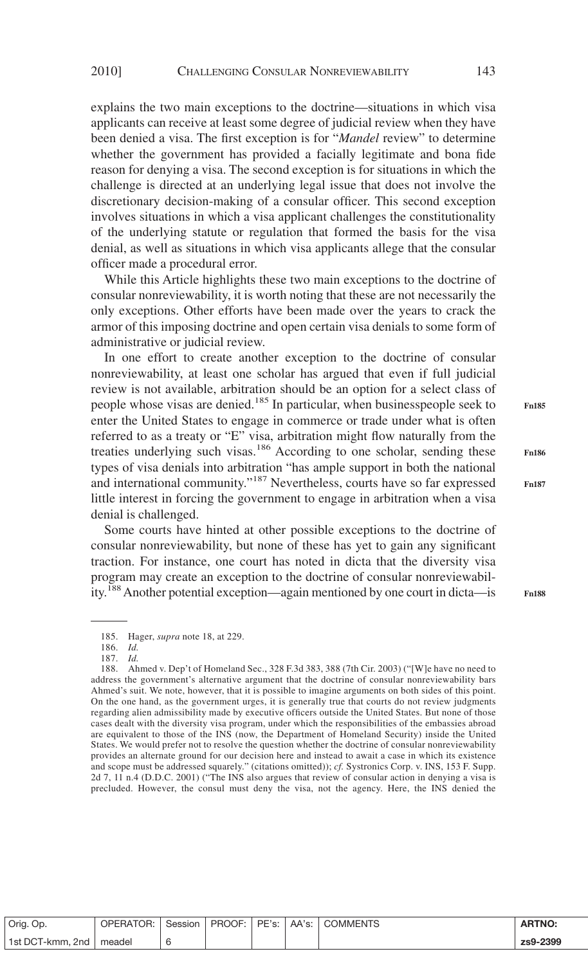explains the two main exceptions to the doctrine—situations in which visa applicants can receive at least some degree of judicial review when they have been denied a visa. The first exception is for "*Mandel* review" to determine whether the government has provided a facially legitimate and bona fide reason for denying a visa. The second exception is for situations in which the challenge is directed at an underlying legal issue that does not involve the discretionary decision-making of a consular officer. This second exception involves situations in which a visa applicant challenges the constitutionality of the underlying statute or regulation that formed the basis for the visa denial, as well as situations in which visa applicants allege that the consular officer made a procedural error.

While this Article highlights these two main exceptions to the doctrine of consular nonreviewability, it is worth noting that these are not necessarily the only exceptions. Other efforts have been made over the years to crack the armor of this imposing doctrine and open certain visa denials to some form of administrative or judicial review.

In one effort to create another exception to the doctrine of consular nonreviewability, at least one scholar has argued that even if full judicial review is not available, arbitration should be an option for a select class of people whose visas are denied.<sup>185</sup> In particular, when businesspeople seek to enter the United States to engage in commerce or trade under what is often referred to as a treaty or "E" visa, arbitration might flow naturally from the treaties underlying such visas.<sup>186</sup> According to one scholar, sending these types of visa denials into arbitration "has ample support in both the national and international community."<sup>187</sup> Nevertheless, courts have so far expressed little interest in forcing the government to engage in arbitration when a visa denial is challenged.

Some courts have hinted at other possible exceptions to the doctrine of consular nonreviewability, but none of these has yet to gain any significant traction. For instance, one court has noted in dicta that the diversity visa program may create an exception to the doctrine of consular nonreviewability.188Another potential exception—again mentioned by one court in dicta—is

188. Ahmed v. Dep't of Homeland Sec., 328 F.3d 383, 388 (7th Cir. 2003) ("[W]e have no need to address the government's alternative argument that the doctrine of consular nonreviewability bars Ahmed's suit. We note, however, that it is possible to imagine arguments on both sides of this point. On the one hand, as the government urges, it is generally true that courts do not review judgments regarding alien admissibility made by executive officers outside the United States. But none of those cases dealt with the diversity visa program, under which the responsibilities of the embassies abroad are equivalent to those of the INS (now, the Department of Homeland Security) inside the United States. We would prefer not to resolve the question whether the doctrine of consular nonreviewability provides an alternate ground for our decision here and instead to await a case in which its existence and scope must be addressed squarely." (citations omitted)); *cf.* Systronics Corp. v. INS, 153 F. Supp. 2d 7, 11 n.4 (D.D.C. 2001) ("The INS also argues that review of consular action in denying a visa is precluded. However, the consul must deny the visa, not the agency. Here, the INS denied the

| Orig. Op.                 | OPERATOR: Session   PROOF: PE's: AA's: COMMENTS |  |  | <b>ARTNO:</b> |
|---------------------------|-------------------------------------------------|--|--|---------------|
| 1st DCT-kmm, 2nd   meadel |                                                 |  |  | zs9-2399      |

**Fn186**

**Fn185**

**Fn187**

<sup>185.</sup> Hager, *supra* note 18, at 229.

<sup>186.</sup> *Id.*

<sup>187.</sup> *Id.*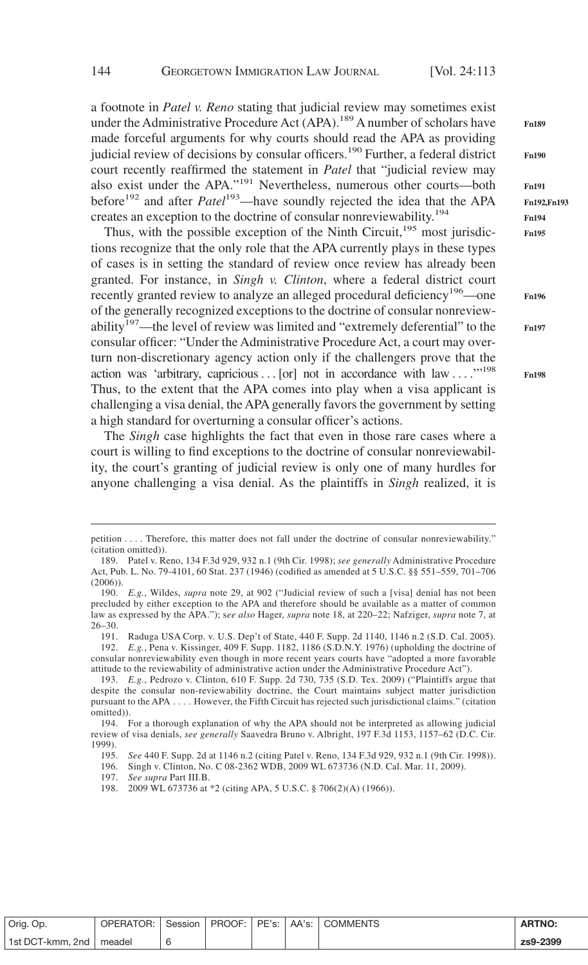a footnote in *Patel v. Reno* stating that judicial review may sometimes exist under the Administrative Procedure Act (APA).<sup>189</sup> A number of scholars have made forceful arguments for why courts should read the APA as providing judicial review of decisions by consular officers.<sup>190</sup> Further, a federal district court recently reaffirmed the statement in *Patel* that "judicial review may also exist under the APA."<sup>191</sup> Nevertheless, numerous other courts—both before<sup>192</sup> and after *Patel*<sup>193</sup>—have soundly rejected the idea that the APA creates an exception to the doctrine of consular nonreviewability.194

Thus, with the possible exception of the Ninth Circuit, $195$  most jurisdictions recognize that the only role that the APA currently plays in these types of cases is in setting the standard of review once review has already been granted. For instance, in *Singh v. Clinton*, where a federal district court recently granted review to analyze an alleged procedural deficiency<sup>196</sup>—one of the generally recognized exceptions to the doctrine of consular nonreviewability<sup>197</sup>—the level of review was limited and "extremely deferential" to the consular officer: "Under the Administrative Procedure Act, a court may overturn non-discretionary agency action only if the challengers prove that the action was 'arbitrary, capricious... [or] not in accordance with law ...."<sup>198</sup> Thus, to the extent that the APA comes into play when a visa applicant is challenging a visa denial, the APA generally favors the government by setting a high standard for overturning a consular officer's actions.

The *Singh* case highlights the fact that even in those rare cases where a court is willing to find exceptions to the doctrine of consular nonreviewability, the court's granting of judicial review is only one of many hurdles for anyone challenging a visa denial. As the plaintiffs in *Singh* realized, it is

191. Raduga USA Corp. v. U.S. Dep't of State, 440 F. Supp. 2d 1140, 1146 n.2 (S.D. Cal. 2005). 192. *E.g.*, Pena v. Kissinger, 409 F. Supp. 1182, 1186 (S.D.N.Y. 1976) (upholding the doctrine of consular nonreviewability even though in more recent years courts have "adopted a more favorable attitude to the reviewability of administrative action under the Administrative Procedure Act").

| Orig. Op.                 | OPERATOR: Session   PROOF: PE's: AA's: COMMENTS |  |  | <b>ARTNO:</b> |
|---------------------------|-------------------------------------------------|--|--|---------------|
| 1st DCT-kmm, 2nd   meadel |                                                 |  |  | zs9-2399      |

**Fn189 Fn190 Fn191 Fn192,Fn193 Fn194 Fn195**

**Fn196**

**Fn197**

petition.... Therefore, this matter does not fall under the doctrine of consular nonreviewability." (citation omitted)).

<sup>189.</sup> Patel v. Reno, 134 F.3d 929, 932 n.1 (9th Cir. 1998); *see generally* Administrative Procedure Act, Pub. L. No. 79-4101, 60 Stat. 237 (1946) (codified as amended at 5 U.S.C. §§ 551–559, 701–706 (2006)).

<sup>190.</sup> *E.g.*, Wildes, *supra* note 29, at 902 ("Judicial review of such a [visa] denial has not been precluded by either exception to the APA and therefore should be available as a matter of common law as expressed by the APA."); s*ee also* Hager, *supra* note 18, at 220–22; Nafziger, *supra* note 7, at 26–30.

<sup>193.</sup> *E.g.*, Pedrozo v. Clinton, 610 F. Supp. 2d 730, 735 (S.D. Tex. 2009) ("Plaintiffs argue that despite the consular non-reviewability doctrine, the Court maintains subject matter jurisdiction pursuant to the APA.... However, the Fifth Circuit has rejected such jurisdictional claims." (citation omitted)).

<sup>194.</sup> For a thorough explanation of why the APA should not be interpreted as allowing judicial review of visa denials, *see generally* Saavedra Bruno v. Albright, 197 F.3d 1153, 1157–62 (D.C. Cir. 1999).

<sup>195.</sup> *See* 440 F. Supp. 2d at 1146 n.2 (citing Patel v. Reno, 134 F.3d 929, 932 n.1 (9th Cir. 1998)).

<sup>196.</sup> Singh v. Clinton, No. C 08-2362 WDB, 2009 WL 673736 (N.D. Cal. Mar. 11, 2009).

<sup>197.</sup> *See supra* Part III.B.

<sup>198. 2009</sup> WL 673736 at \*2 (citing APA, 5 U.S.C. § 706(2)(A) (1966)).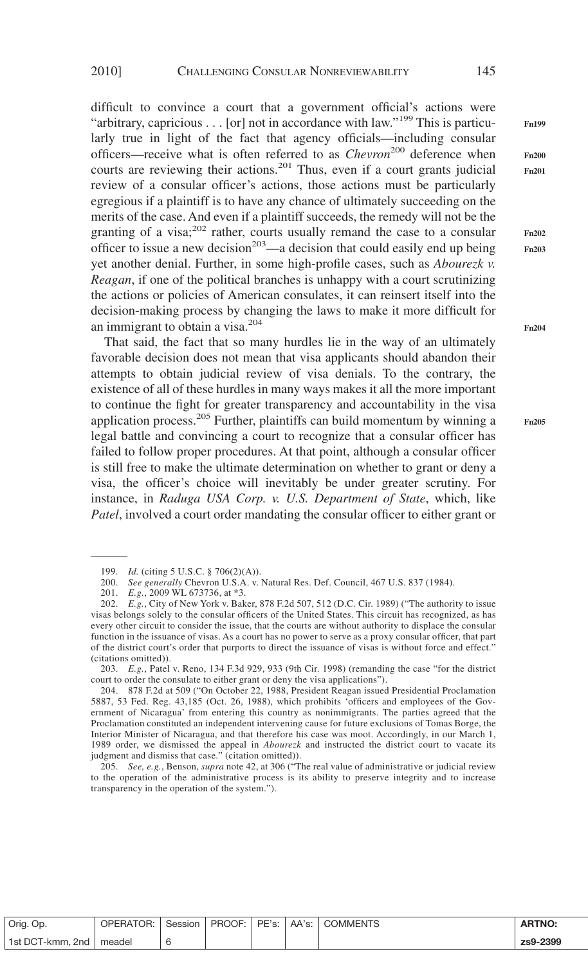difficult to convince a court that a government official's actions were "arbitrary, capricious . . . [or] not in accordance with law."<sup>199</sup> This is particularly true in light of the fact that agency officials—including consular officers—receive what is often referred to as *Chevron*<sup>200</sup> deference when courts are reviewing their actions.<sup>201</sup> Thus, even if a court grants judicial review of a consular officer's actions, those actions must be particularly egregious if a plaintiff is to have any chance of ultimately succeeding on the merits of the case. And even if a plaintiff succeeds, the remedy will not be the granting of a visa; $^{202}$  rather, courts usually remand the case to a consular officer to issue a new decision<sup>203</sup>—a decision that could easily end up being yet another denial. Further, in some high-profile cases, such as *Abourezk v. Reagan*, if one of the political branches is unhappy with a court scrutinizing the actions or policies of American consulates, it can reinsert itself into the decision-making process by changing the laws to make it more difficult for an immigrant to obtain a visa.204

That said, the fact that so many hurdles lie in the way of an ultimately favorable decision does not mean that visa applicants should abandon their attempts to obtain judicial review of visa denials. To the contrary, the existence of all of these hurdles in many ways makes it all the more important to continue the fight for greater transparency and accountability in the visa application process.<sup>205</sup> Further, plaintiffs can build momentum by winning a legal battle and convincing a court to recognize that a consular officer has failed to follow proper procedures. At that point, although a consular officer is still free to make the ultimate determination on whether to grant or deny a visa, the officer's choice will inevitably be under greater scrutiny. For instance, in *Raduga USA Corp. v. U.S. Department of State*, which, like *Patel*, involved a court order mandating the consular officer to either grant or

205. *See, e.g.*, Benson, *supra* note 42, at 306 ("The real value of administrative or judicial review to the operation of the administrative process is its ability to preserve integrity and to increase transparency in the operation of the system.").

| Orig. Op.                 | <b>OPERATOR:</b> I | Session |  | PROOF: PE's: AA's: COMMENTS | <b>ARTNO:</b> |
|---------------------------|--------------------|---------|--|-----------------------------|---------------|
| 1st DCT-kmm, 2nd   meadel |                    |         |  |                             | zs9-2399      |

**Fn204**

**Fn199**

**Fn200 Fn201**

**Fn202 Fn203**

<sup>199.</sup> *Id.* (citing 5 U.S.C. § 706(2)(A)).

<sup>200.</sup> *See generally* Chevron U.S.A. v. Natural Res. Def. Council, 467 U.S. 837 (1984).

<sup>201.</sup> *E.g.*, 2009 WL 673736, at \*3.

<sup>202.</sup> *E.g.*, City of New York v. Baker, 878 F.2d 507, 512 (D.C. Cir. 1989) ("The authority to issue visas belongs solely to the consular officers of the United States. This circuit has recognized, as has every other circuit to consider the issue, that the courts are without authority to displace the consular function in the issuance of visas. As a court has no power to serve as a proxy consular officer, that part of the district court's order that purports to direct the issuance of visas is without force and effect." (citations omitted)).

<sup>203.</sup> *E.g.*, Patel v. Reno, 134 F.3d 929, 933 (9th Cir. 1998) (remanding the case "for the district court to order the consulate to either grant or deny the visa applications").

<sup>204. 878</sup> F.2d at 509 ("On October 22, 1988, President Reagan issued Presidential Proclamation 5887, 53 Fed. Reg. 43,185 (Oct. 26, 1988), which prohibits 'officers and employees of the Government of Nicaragua' from entering this country as nonimmigrants. The parties agreed that the Proclamation constituted an independent intervening cause for future exclusions of Tomas Borge, the Interior Minister of Nicaragua, and that therefore his case was moot. Accordingly, in our March 1, 1989 order, we dismissed the appeal in *Abourezk* and instructed the district court to vacate its judgment and dismiss that case." (citation omitted)).